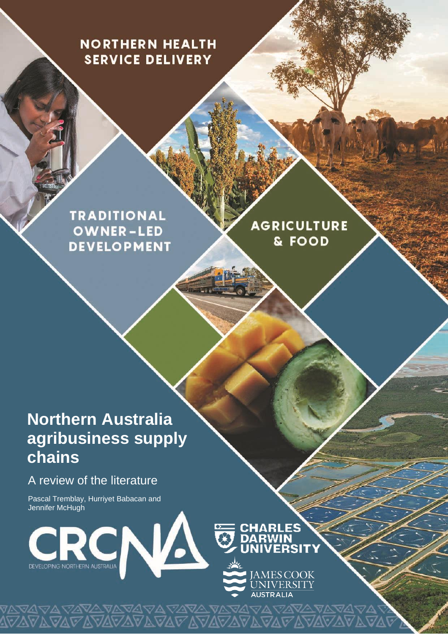## **NORTHERN HEALTH SERVICE DELIVERY**

**TRADITIONAL OWNER-LED DEVELOPMENT** 

**AGRICULTURE** & FOOD

# **Northern Australia agribusiness supply chains**

## A review of the literature

Pascal Tremblay, Hurriyet Babacan and Jennifer McHugh

DEVELOPING NORTHERN AUSTRALIA

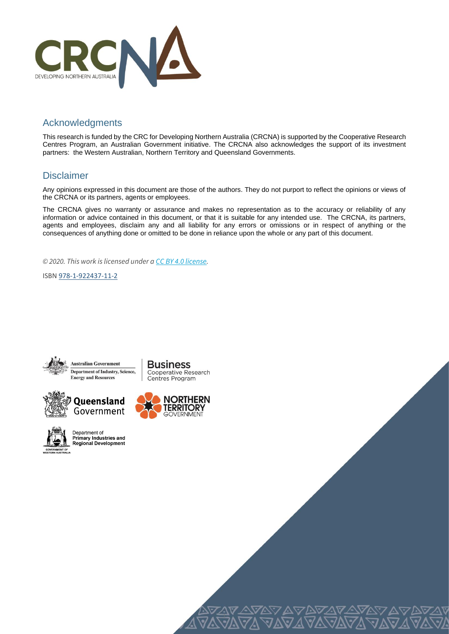

## Acknowledgments

This research is funded by the CRC for Developing Northern Australia (CRCNA) is supported by the Cooperative Research Centres Program, an Australian Government initiative. The CRCNA also acknowledges the support of its investment partners: the Western Australian, Northern Territory and Queensland Governments.

## Disclaimer

Any opinions expressed in this document are those of the authors. They do not purport to reflect the opinions or views of the CRCNA or its partners, agents or employees.

The CRCNA gives no warranty or assurance and makes no representation as to the accuracy or reliability of any information or advice contained in this document, or that it is suitable for any intended use. The CRCNA, its partners, agents and employees, disclaim any and all liability for any errors or omissions or in respect of anything or the consequences of anything done or omitted to be done in reliance upon the whole or any part of this document.

1

*© 2020. This work is licensed under a [CC BY 4.0 license.](https://creativecommons.org/licenses/by/4.0/)*

ISBN [978-1-922437-11-2](https://aus01.safelinks.protection.outlook.com/?url=https%3A%2F%2Fwww.myidentifiers.com.au%2Ftitle_registration%3Fisbn%3D978-1-922437-11-2%26icon_type%3DNew&data=02%7C01%7Churriyet.babacan%40jcu.edu.au%7C03b213fd7c5e40963a4308d859dc7920%7C30a8c4e81ecd4f148099f73482a7adc0%7C0%7C0%7C637358151175188008&sdata=PSvBuh8hHg6kUFRmoNkucxxFw8bxV57bELffG%2BL%2BJkg%3D&reserved=0)









Department of<br>Primary Industries and Regional Development



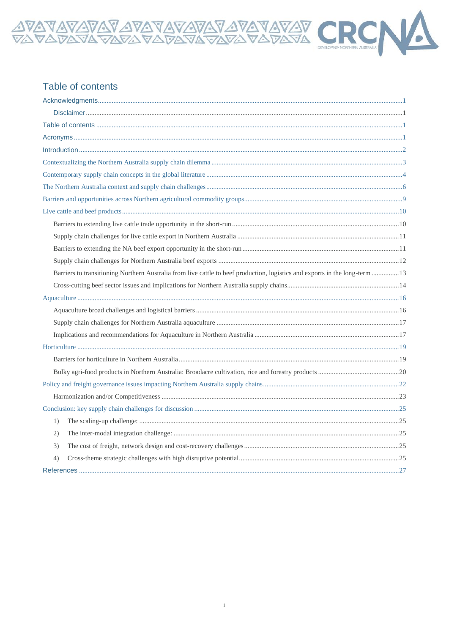## Table of contents

| Barriers to transitioning Northern Australia from live cattle to beef production, logistics and exports in the long-term 13 |  |
|-----------------------------------------------------------------------------------------------------------------------------|--|
|                                                                                                                             |  |
|                                                                                                                             |  |
|                                                                                                                             |  |
|                                                                                                                             |  |
|                                                                                                                             |  |
|                                                                                                                             |  |
|                                                                                                                             |  |
|                                                                                                                             |  |
|                                                                                                                             |  |
|                                                                                                                             |  |
|                                                                                                                             |  |
| 1)                                                                                                                          |  |
| (2)                                                                                                                         |  |
| 3)                                                                                                                          |  |
| 4)                                                                                                                          |  |
|                                                                                                                             |  |

AVAVAVAVAVAVAVAVAVAVAVAVAV CRCN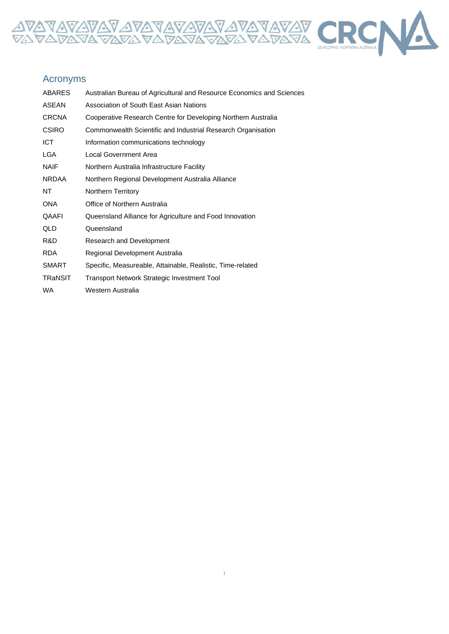

## Acronyms

| <b>ABARES</b>  | Australian Bureau of Agricultural and Resource Economics and Sciences |
|----------------|-----------------------------------------------------------------------|
| ASEAN          | Association of South East Asian Nations                               |
| <b>CRCNA</b>   | Cooperative Research Centre for Developing Northern Australia         |
| <b>CSIRO</b>   | Commonwealth Scientific and Industrial Research Organisation          |
| <b>ICT</b>     | Information communications technology                                 |
| LGA            | Local Government Area                                                 |
| <b>NAIF</b>    | Northern Australia Infrastructure Facility                            |
| <b>NRDAA</b>   | Northern Regional Development Australia Alliance                      |
| NT.            | <b>Northern Territory</b>                                             |
| ONA            | Office of Northern Australia                                          |
| QAAFI          | Queensland Alliance for Agriculture and Food Innovation               |
| QLD            | Queensland                                                            |
| R&D            | Research and Development                                              |
| RDA            | Regional Development Australia                                        |
| <b>SMART</b>   | Specific, Measureable, Attainable, Realistic, Time-related            |
| <b>TRaNSIT</b> | Transport Network Strategic Investment Tool                           |
| WA.            | Western Australia                                                     |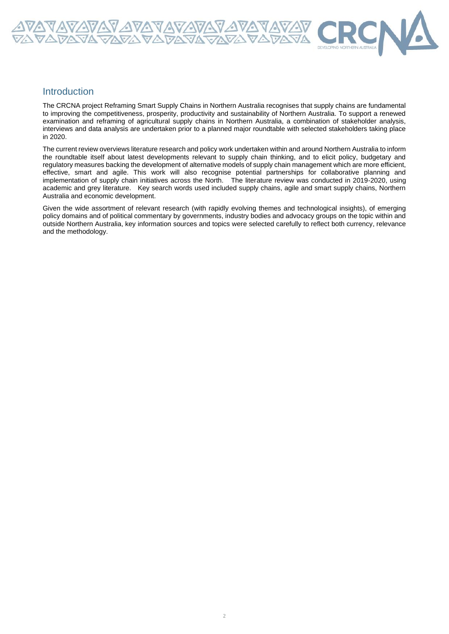

The CRCNA project Reframing Smart Supply Chains in Northern Australia recognises that supply chains are fundamental to improving the competitiveness, prosperity, productivity and sustainability of Northern Australia. To support a renewed examination and reframing of agricultural supply chains in Northern Australia, a combination of stakeholder analysis, interviews and data analysis are undertaken prior to a planned major roundtable with selected stakeholders taking place in 2020.

<u> A VAVAVAV AVAVAVAVAVAVAV</u><br>VA*VA*VAVAVAVAVAVAVAV

The current review overviews literature research and policy work undertaken within and around Northern Australia to inform the roundtable itself about latest developments relevant to supply chain thinking, and to elicit policy, budgetary and regulatory measures backing the development of alternative models of supply chain management which are more efficient, effective, smart and agile. This work will also recognise potential partnerships for collaborative planning and implementation of supply chain initiatives across the North. The literature review was conducted in 2019-2020, using academic and grey literature. Key search words used included supply chains, agile and smart supply chains, Northern Australia and economic development.

Given the wide assortment of relevant research (with rapidly evolving themes and technological insights), of emerging policy domains and of political commentary by governments, industry bodies and advocacy groups on the topic within and outside Northern Australia, key information sources and topics were selected carefully to reflect both currency, relevance and the methodology.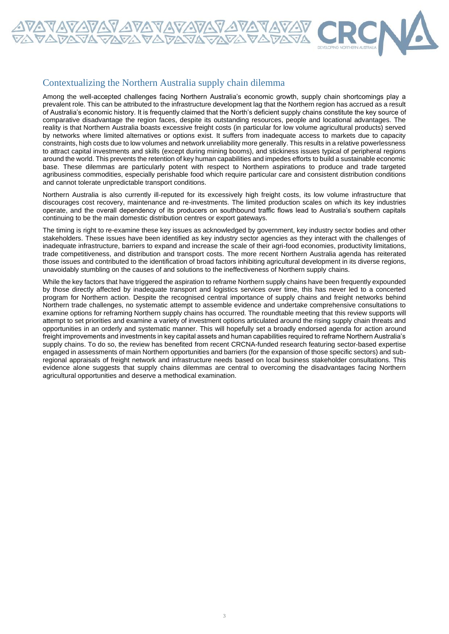

### Contextualizing the Northern Australia supply chain dilemma

Among the well-accepted challenges facing Northern Australia's economic growth, supply chain shortcomings play a prevalent role. This can be attributed to the infrastructure development lag that the Northern region has accrued as a result of Australia's economic history. It is frequently claimed that the North's deficient supply chains constitute the key source of comparative disadvantage the region faces, despite its outstanding resources, people and locational advantages. The reality is that Northern Australia boasts excessive freight costs (in particular for low volume agricultural products) served by networks where limited alternatives or options exist. It suffers from inadequate access to markets due to capacity constraints, high costs due to low volumes and network unreliability more generally. This results in a relative powerlessness to attract capital investments and skills (except during mining booms), and stickiness issues typical of peripheral regions around the world. This prevents the retention of key human capabilities and impedes efforts to build a sustainable economic base. These dilemmas are particularly potent with respect to Northern aspirations to produce and trade targeted agribusiness commodities, especially perishable food which require particular care and consistent distribution conditions and cannot tolerate unpredictable transport conditions.

Northern Australia is also currently ill-reputed for its excessively high freight costs, its low volume infrastructure that discourages cost recovery, maintenance and re-investments. The limited production scales on which its key industries operate, and the overall dependency of its producers on southbound traffic flows lead to Australia's southern capitals continuing to be the main domestic distribution centres or export gateways.

The timing is right to re-examine these key issues as acknowledged by government, key industry sector bodies and other stakeholders. These issues have been identified as key industry sector agencies as they interact with the challenges of inadequate infrastructure, barriers to expand and increase the scale of their agri-food economies, productivity limitations, trade competitiveness, and distribution and transport costs. The more recent Northern Australia agenda has reiterated those issues and contributed to the identification of broad factors inhibiting agricultural development in its diverse regions, unavoidably stumbling on the causes of and solutions to the ineffectiveness of Northern supply chains.

While the key factors that have triggered the aspiration to reframe Northern supply chains have been frequently expounded by those directly affected by inadequate transport and logistics services over time, this has never led to a concerted program for Northern action. Despite the recognised central importance of supply chains and freight networks behind Northern trade challenges, no systematic attempt to assemble evidence and undertake comprehensive consultations to examine options for reframing Northern supply chains has occurred. The roundtable meeting that this review supports will attempt to set priorities and examine a variety of investment options articulated around the rising supply chain threats and opportunities in an orderly and systematic manner. This will hopefully set a broadly endorsed agenda for action around freight improvements and investments in key capital assets and human capabilities required to reframe Northern Australia's supply chains. To do so, the review has benefited from recent CRCNA-funded research featuring sector-based expertise engaged in assessments of main Northern opportunities and barriers (for the expansion of those specific sectors) and subregional appraisals of freight network and infrastructure needs based on local business stakeholder consultations. This evidence alone suggests that supply chains dilemmas are central to overcoming the disadvantages facing Northern agricultural opportunities and deserve a methodical examination.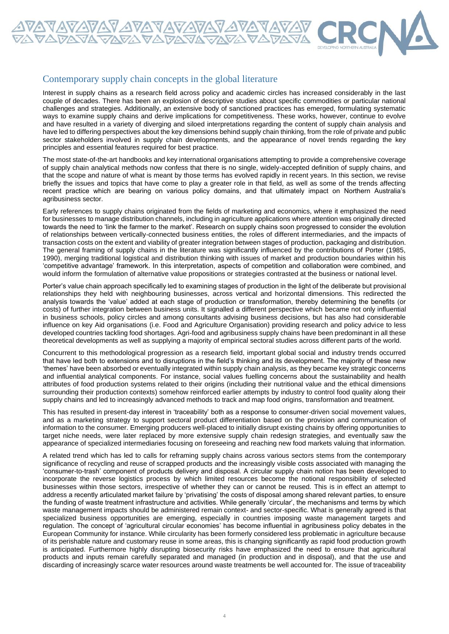

Interest in supply chains as a research field across policy and academic circles has increased considerably in the last couple of decades. There has been an explosion of descriptive studies about specific commodities or particular national challenges and strategies. Additionally, an extensive body of sanctioned practices has emerged, formulating systematic ways to examine supply chains and derive implications for competitiveness. These works, however, continue to evolve and have resulted in a variety of diverging and siloed interpretations regarding the content of supply chain analysis and have led to differing perspectives about the key dimensions behind supply chain thinking, from the role of private and public sector stakeholders involved in supply chain developments, and the appearance of novel trends regarding the key principles and essential features required for best practice.

The most state-of-the-art handbooks and key international organisations attempting to provide a comprehensive coverage of supply chain analytical methods now confess that there is no single, widely-accepted definition of supply chains, and that the scope and nature of what is meant by those terms has evolved rapidly in recent years. In this section, we revise briefly the issues and topics that have come to play a greater role in that field, as well as some of the trends affecting recent practice which are bearing on various policy domains, and that ultimately impact on Northern Australia's agribusiness sector.

Early references to supply chains originated from the fields of marketing and economics, where it emphasized the need for businesses to manage distribution channels, including in agriculture applications where attention was originally directed towards the need to 'link the farmer to the market'. Research on supply chains soon progressed to consider the evolution of relationships between vertically-connected business entities, the roles of different intermediaries, and the impacts of transaction costs on the extent and viability of greater integration between stages of production, packaging and distribution. The general framing of supply chains in the literature was significantly influenced by the contributions of Porter (1985, 1990), merging traditional logistical and distribution thinking with issues of market and production boundaries within his 'competitive advantage' framework. In this interpretation, aspects of competition and collaboration were combined, and would inform the formulation of alternative value propositions or strategies contrasted at the business or national level.

Porter's value chain approach specifically led to examining stages of production in the light of the deliberate but provisional relationships they held with neighbouring businesses, across vertical and horizontal dimensions. This redirected the analysis towards the 'value' added at each stage of production or transformation, thereby determining the benefits (or costs) of further integration between business units. It signalled a different perspective which became not only influential in business schools, policy circles and among consultants advising business decisions, but has also had considerable influence on key Aid organisations (i.e. Food and Agriculture Organisation) providing research and policy advice to less developed countries tackling food shortages. Agri-food and agribusiness supply chains have been predominant in all these theoretical developments as well as supplying a majority of empirical sectoral studies across different parts of the world.

Concurrent to this methodological progression as a research field, important global social and industry trends occurred that have led both to extensions and to disruptions in the field's thinking and its development. The majority of these new 'themes' have been absorbed or eventually integrated within supply chain analysis, as they became key strategic concerns and influential analytical components. For instance, social values fuelling concerns about the sustainability and health attributes of food production systems related to their origins (including their nutritional value and the ethical dimensions surrounding their production contexts) somehow reinforced earlier attempts by industry to control food quality along their supply chains and led to increasingly advanced methods to track and map food origins, transformation and treatment.

This has resulted in present-day interest in 'traceability' both as a response to consumer-driven social movement values, and as a marketing strategy to support sectoral product differentiation based on the provision and communication of information to the consumer. Emerging producers well-placed to initially disrupt existing chains by offering opportunities to target niche needs, were later replaced by more extensive supply chain redesign strategies, and eventually saw the appearance of specialized intermediaries focusing on foreseeing and reaching new food markets valuing that information.

A related trend which has led to calls for reframing supply chains across various sectors stems from the contemporary significance of recycling and reuse of scrapped products and the increasingly visible costs associated with managing the 'consumer-to-trash' component of products delivery and disposal. A circular supply chain notion has been developed to incorporate the reverse logistics process by which limited resources become the notional responsibility of selected businesses within those sectors, irrespective of whether they can or cannot be reused. This is in effect an attempt to address a recently articulated market failure by 'privatising' the costs of disposal among shared relevant parties, to ensure the funding of waste treatment infrastructure and activities. While generally 'circular', the mechanisms and terms by which waste management impacts should be administered remain context- and sector-specific. What is generally agreed is that specialized business opportunities are emerging, especially in countries imposing waste management targets and regulation. The concept of 'agricultural circular economies' has become influential in agribusiness policy debates in the European Community for instance. While circularity has been formerly considered less problematic in agriculture because of its perishable nature and customary reuse in some areas, this is changing significantly as rapid food production growth is anticipated. Furthermore highly disrupting biosecurity risks have emphasized the need to ensure that agricultural products and inputs remain carefully separated and managed (in production and in disposal), and that the use and discarding of increasingly scarce water resources around waste treatments be well accounted for. The issue of traceability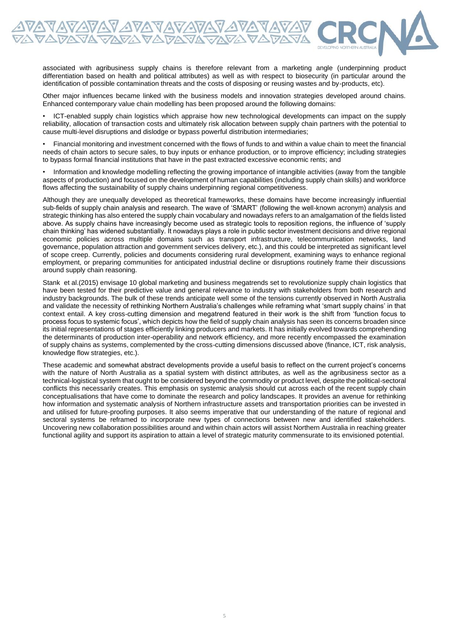associated with agribusiness supply chains is therefore relevant from a marketing angle (underpinning product differentiation based on health and political attributes) as well as with respect to biosecurity (in particular around the identification of possible contamination threats and the costs of disposing or reusing wastes and by-products, etc).

<u>VAVAVAV AVAVAVAVAVAVAV</u><br>A*v*aVAVAVAVAVAVAVAVAV

Other major influences became linked with the business models and innovation strategies developed around chains. Enhanced contemporary value chain modelling has been proposed around the following domains:

• ICT-enabled supply chain logistics which appraise how new technological developments can impact on the supply reliability, allocation of transaction costs and ultimately risk allocation between supply chain partners with the potential to cause multi-level disruptions and dislodge or bypass powerful distribution intermediaries;

• Financial monitoring and investment concerned with the flows of funds to and within a value chain to meet the financial needs of chain actors to secure sales, to buy inputs or enhance production, or to improve efficiency; including strategies to bypass formal financial institutions that have in the past extracted excessive economic rents; and

• Information and knowledge modelling reflecting the growing importance of intangible activities (away from the tangible aspects of production) and focused on the development of human capabilities (including supply chain skills) and workforce flows affecting the sustainability of supply chains underpinning regional competitiveness.

Although they are unequally developed as theoretical frameworks, these domains have become increasingly influential sub-fields of supply chain analysis and research. The wave of 'SMART' (following the well-known acronym) analysis and strategic thinking has also entered the supply chain vocabulary and nowadays refers to an amalgamation of the fields listed above. As supply chains have increasingly become used as strategic tools to reposition regions, the influence of 'supply chain thinking' has widened substantially. It nowadays plays a role in public sector investment decisions and drive regional economic policies across multiple domains such as transport infrastructure, telecommunication networks, land governance, population attraction and government services delivery, etc.), and this could be interpreted as significant level of scope creep. Currently, policies and documents considering rural development, examining ways to enhance regional employment, or preparing communities for anticipated industrial decline or disruptions routinely frame their discussions around supply chain reasoning.

Stank et al.(2015) envisage 10 global marketing and business megatrends set to revolutionize supply chain logistics that have been tested for their predictive value and general relevance to industry with stakeholders from both research and industry backgrounds. The bulk of these trends anticipate well some of the tensions currently observed in North Australia and validate the necessity of rethinking Northern Australia's challenges while reframing what 'smart supply chains' in that context entail. A key cross-cutting dimension and megatrend featured in their work is the shift from 'function focus to process focus to systemic focus', which depicts how the field of supply chain analysis has seen its concerns broaden since its initial representations of stages efficiently linking producers and markets. It has initially evolved towards comprehending the determinants of production inter-operability and network efficiency, and more recently encompassed the examination of supply chains as systems, complemented by the cross-cutting dimensions discussed above (finance, ICT, risk analysis, knowledge flow strategies, etc.).

These academic and somewhat abstract developments provide a useful basis to reflect on the current project's concerns with the nature of North Australia as a spatial system with distinct attributes, as well as the agribusiness sector as a technical-logistical system that ought to be considered beyond the commodity or product level, despite the political-sectoral conflicts this necessarily creates. This emphasis on systemic analysis should cut across each of the recent supply chain conceptualisations that have come to dominate the research and policy landscapes. It provides an avenue for rethinking how information and systematic analysis of Northern infrastructure assets and transportation priorities can be invested in and utilised for future-proofing purposes. It also seems imperative that our understanding of the nature of regional and sectoral systems be reframed to incorporate new types of connections between new and identified stakeholders. Uncovering new collaboration possibilities around and within chain actors will assist Northern Australia in reaching greater functional agility and support its aspiration to attain a level of strategic maturity commensurate to its envisioned potential.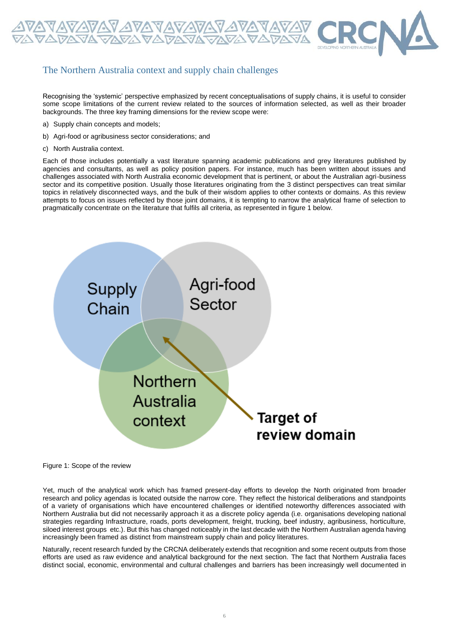

## The Northern Australia context and supply chain challenges

Recognising the 'systemic' perspective emphasized by recent conceptualisations of supply chains, it is useful to consider some scope limitations of the current review related to the sources of information selected, as well as their broader backgrounds. The three key framing dimensions for the review scope were:

- a) Supply chain concepts and models;
- b) Agri-food or agribusiness sector considerations; and
- c) North Australia context.

Each of those includes potentially a vast literature spanning academic publications and grey literatures published by agencies and consultants, as well as policy position papers. For instance, much has been written about issues and challenges associated with North Australia economic development that is pertinent, or about the Australian agri-business sector and its competitive position. Usually those literatures originating from the 3 distinct perspectives can treat similar topics in relatively disconnected ways, and the bulk of their wisdom applies to other contexts or domains. As this review attempts to focus on issues reflected by those joint domains, it is tempting to narrow the analytical frame of selection to pragmatically concentrate on the literature that fulfils all criteria, as represented in figure 1 below.



Figure 1: Scope of the review

Yet, much of the analytical work which has framed present-day efforts to develop the North originated from broader research and policy agendas is located outside the narrow core. They reflect the historical deliberations and standpoints of a variety of organisations which have encountered challenges or identified noteworthy differences associated with Northern Australia but did not necessarily approach it as a discrete policy agenda (i.e. organisations developing national strategies regarding Infrastructure, roads, ports development, freight, trucking, beef industry, agribusiness, horticulture, siloed interest groups etc.). But this has changed noticeably in the last decade with the Northern Australian agenda having increasingly been framed as distinct from mainstream supply chain and policy literatures.

Naturally, recent research funded by the CRCNA deliberately extends that recognition and some recent outputs from those efforts are used as raw evidence and analytical background for the next section. The fact that Northern Australia faces distinct social, economic, environmental and cultural challenges and barriers has been increasingly well documented in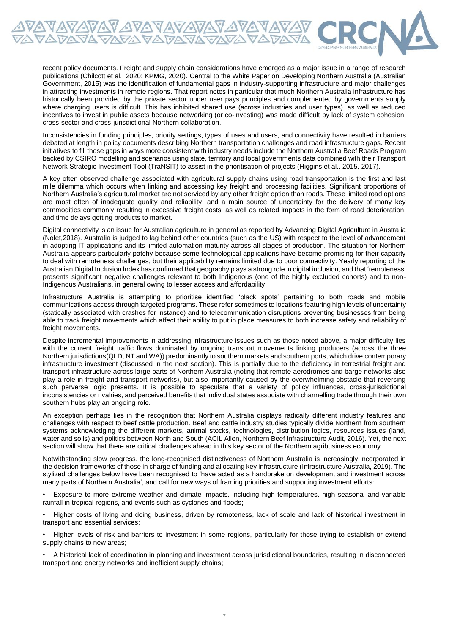recent policy documents. Freight and supply chain considerations have emerged as a major issue in a range of research publications (Chilcott et al., 2020: KPMG, 2020). Central to the White Paper on Developing Northern Australia (Australian Government, 2015) was the identification of fundamental gaps in industry-supporting infrastructure and major challenges in attracting investments in remote regions. That report notes in particular that much Northern Australia infrastructure has historically been provided by the private sector under user pays principles and complemented by governments supply where charging users is difficult. This has inhibited shared use (across industries and user types), as well as reduced incentives to invest in public assets because networking (or co-investing) was made difficult by lack of system cohesion, cross-sector and cross-jurisdictional Northern collaboration.

Inconsistencies in funding principles, priority settings, types of uses and users, and connectivity have resulted in barriers debated at length in policy documents describing Northern transportation challenges and road infrastructure gaps. Recent initiatives to fill those gaps in ways more consistent with industry needs include the Northern Australia Beef Roads Program backed by CSIRO modelling and scenarios using state, territory and local governments data combined with their Transport Network Strategic Investment Tool (TraNSIT) to assist in the prioritisation of projects (Higgins et al., 2015, 2017).

A key often observed challenge associated with agricultural supply chains using road transportation is the first and last mile dilemma which occurs when linking and accessing key freight and processing facilities. Significant proportions of Northern Australia's agricultural market are not serviced by any other freight option than roads. These limited road options are most often of inadequate quality and reliability, and a main source of uncertainty for the delivery of many key commodities commonly resulting in excessive freight costs, as well as related impacts in the form of road deterioration, and time delays getting products to market.

Digital connectivity is an issue for Australian agriculture in general as reported by Advancing Digital Agriculture in Australia (Nolet,2018). Australia is judged to lag behind other countries (such as the US) with respect to the level of advancement in adopting IT applications and its limited automation maturity across all stages of production. The situation for Northern Australia appears particularly patchy because some technological applications have become promising for their capacity to deal with remoteness challenges, but their applicability remains limited due to poor connectivity. Yearly reporting of the Australian Digital Inclusion Index has confirmed that geography plays a strong role in digital inclusion, and that 'remoteness' presents significant negative challenges relevant to both Indigenous (one of the highly excluded cohorts) and to non-Indigenous Australians, in general owing to lesser access and affordability.

Infrastructure Australia is attempting to prioritise identified 'black spots' pertaining to both roads and mobile communications access through targeted programs. These refer sometimes to locations featuring high levels of uncertainty (statically associated with crashes for instance) and to telecommunication disruptions preventing businesses from being able to track freight movements which affect their ability to put in place measures to both increase safety and reliability of freight movements.

Despite incremental improvements in addressing infrastructure issues such as those noted above, a major difficulty lies with the current freight traffic flows dominated by ongoing transport movements linking producers (across the three Northern jurisdictions(QLD, NT and WA)) predominantly to southern markets and southern ports, which drive contemporary infrastructure investment (discussed in the next section). This is partially due to the deficiency in terrestrial freight and transport infrastructure across large parts of Northern Australia (noting that remote aerodromes and barge networks also play a role in freight and transport networks), but also importantly caused by the overwhelming obstacle that reversing such perverse logic presents. It is possible to speculate that a variety of policy influences, cross-jurisdictional inconsistencies or rivalries, and perceived benefits that individual states associate with channelling trade through their own southern hubs play an ongoing role.

An exception perhaps lies in the recognition that Northern Australia displays radically different industry features and challenges with respect to beef cattle production. Beef and cattle industry studies typically divide Northern from southern systems acknowledging the different markets, animal stocks, technologies, distribution logics, resources issues (land, water and soils) and politics between North and South (ACIL Allen, Northern Beef Infrastructure Audit, 2016). Yet, the next section will show that there are critical challenges ahead in this key sector of the Northern agribusiness economy.

Notwithstanding slow progress, the long-recognised distinctiveness of Northern Australia is increasingly incorporated in the decision frameworks of those in charge of funding and allocating key infrastructure (Infrastructure Australia, 2019). The stylized challenges below have been recognised to 'have acted as a handbrake on development and investment across many parts of Northern Australia', and call for new ways of framing priorities and supporting investment efforts:

• Exposure to more extreme weather and climate impacts, including high temperatures, high seasonal and variable rainfall in tropical regions, and events such as cyclones and floods;

• Higher costs of living and doing business, driven by remoteness, lack of scale and lack of historical investment in transport and essential services;

• Higher levels of risk and barriers to investment in some regions, particularly for those trying to establish or extend supply chains to new areas;

• A historical lack of coordination in planning and investment across jurisdictional boundaries, resulting in disconnected transport and energy networks and inefficient supply chains;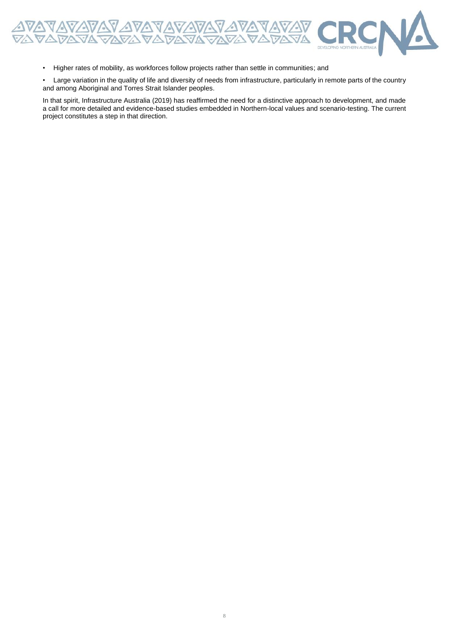

• Higher rates of mobility, as workforces follow projects rather than settle in communities; and

• Large variation in the quality of life and diversity of needs from infrastructure, particularly in remote parts of the country and among Aboriginal and Torres Strait Islander peoples.

In that spirit, Infrastructure Australia (2019) has reaffirmed the need for a distinctive approach to development, and made a call for more detailed and evidence-based studies embedded in Northern-local values and scenario-testing. The current project constitutes a step in that direction.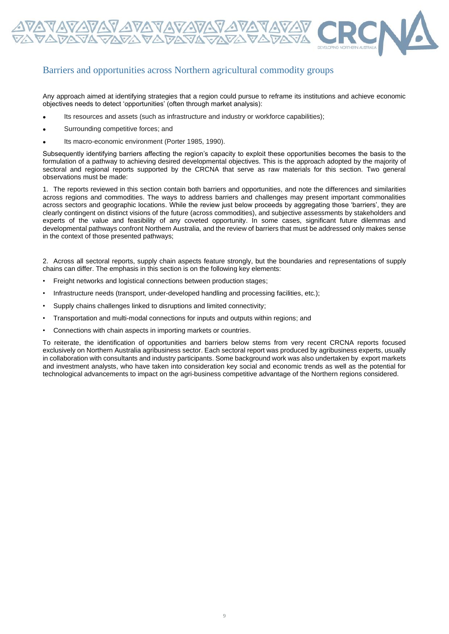

## Barriers and opportunities across Northern agricultural commodity groups

Any approach aimed at identifying strategies that a region could pursue to reframe its institutions and achieve economic objectives needs to detect 'opportunities' (often through market analysis):

- Its resources and assets (such as infrastructure and industry or workforce capabilities);
- Surrounding competitive forces; and
- Its macro-economic environment (Porter 1985, 1990).

Subsequently identifying barriers affecting the region's capacity to exploit these opportunities becomes the basis to the formulation of a pathway to achieving desired developmental objectives. This is the approach adopted by the majority of sectoral and regional reports supported by the CRCNA that serve as raw materials for this section. Two general observations must be made:

1. The reports reviewed in this section contain both barriers and opportunities, and note the differences and similarities across regions and commodities. The ways to address barriers and challenges may present important commonalities across sectors and geographic locations. While the review just below proceeds by aggregating those 'barriers', they are clearly contingent on distinct visions of the future (across commodities), and subjective assessments by stakeholders and experts of the value and feasibility of any coveted opportunity. In some cases, significant future dilemmas and developmental pathways confront Northern Australia, and the review of barriers that must be addressed only makes sense in the context of those presented pathways;

2. Across all sectoral reports, supply chain aspects feature strongly, but the boundaries and representations of supply chains can differ. The emphasis in this section is on the following key elements:

- Freight networks and logistical connections between production stages;
- Infrastructure needs (transport, under-developed handling and processing facilities, etc.);
- Supply chains challenges linked to disruptions and limited connectivity;
- Transportation and multi-modal connections for inputs and outputs within regions; and
- Connections with chain aspects in importing markets or countries.

To reiterate, the identification of opportunities and barriers below stems from very recent CRCNA reports focused exclusively on Northern Australia agribusiness sector. Each sectoral report was produced by agribusiness experts, usually in collaboration with consultants and industry participants. Some background work was also undertaken by export markets and investment analysts, who have taken into consideration key social and economic trends as well as the potential for technological advancements to impact on the agri-business competitive advantage of the Northern regions considered.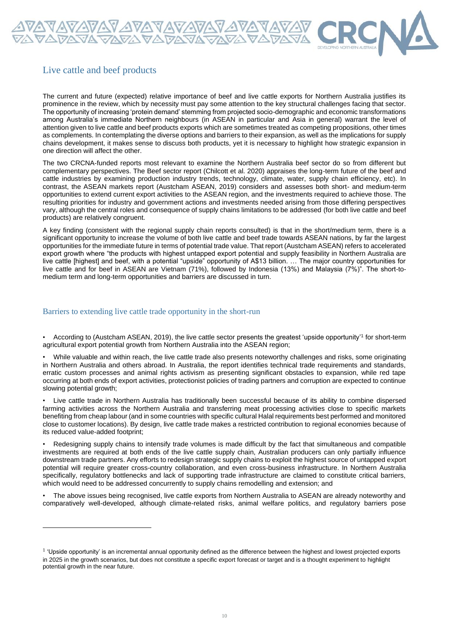

## Live cattle and beef products

The current and future (expected) relative importance of beef and live cattle exports for Northern Australia justifies its prominence in the review, which by necessity must pay some attention to the key structural challenges facing that sector. The opportunity of increasing 'protein demand' stemming from projected socio-demographic and economic transformations among Australia's immediate Northern neighbours (in ASEAN in particular and Asia in general) warrant the level of attention given to live cattle and beef products exports which are sometimes treated as competing propositions, other times as complements. In contemplating the diverse options and barriers to their expansion, as well as the implications for supply chains development, it makes sense to discuss both products, yet it is necessary to highlight how strategic expansion in one direction will affect the other.

The two CRCNA-funded reports most relevant to examine the Northern Australia beef sector do so from different but complementary perspectives. The Beef sector report (Chilcott et al. 2020) appraises the long-term future of the beef and cattle industries by examining production industry trends, technology, climate, water, supply chain efficiency, etc). In contrast, the ASEAN markets report (Austcham ASEAN, 2019) considers and assesses both short- and medium-term opportunities to extend current export activities to the ASEAN region, and the investments required to achieve those. The resulting priorities for industry and government actions and investments needed arising from those differing perspectives vary, although the central roles and consequence of supply chains limitations to be addressed (for both live cattle and beef products) are relatively congruent.

A key finding (consistent with the regional supply chain reports consulted) is that in the short/medium term, there is a significant opportunity to increase the volume of both live cattle and beef trade towards ASEAN nations, by far the largest opportunities for the immediate future in terms of potential trade value. That report (Austcham ASEAN) refers to accelerated export growth where "the products with highest untapped export potential and supply feasibility in Northern Australia are live cattle [highest] and beef, with a potential "upside" opportunity of A\$13 billion. … The major country opportunities for live cattle and for beef in ASEAN are Vietnam (71%), followed by Indonesia (13%) and Malaysia (7%)". The short-tomedium term and long-term opportunities and barriers are discussed in turn.

#### Barriers to extending live cattle trade opportunity in the short-run

• According to (Austcham ASEAN, 2019), the live cattle sector presents the greatest 'upside opportunity'<sup>1</sup> for short-term agricultural export potential growth from Northern Australia into the ASEAN region;

• While valuable and within reach, the live cattle trade also presents noteworthy challenges and risks, some originating in Northern Australia and others abroad. In Australia, the report identifies technical trade requirements and standards, erratic custom processes and animal rights activism as presenting significant obstacles to expansion, while red tape occurring at both ends of export activities, protectionist policies of trading partners and corruption are expected to continue slowing potential growth;

• Live cattle trade in Northern Australia has traditionally been successful because of its ability to combine dispersed farming activities across the Northern Australia and transferring meat processing activities close to specific markets benefiting from cheap labour (and in some countries with specific cultural Halal requirements best performed and monitored close to customer locations). By design, live cattle trade makes a restricted contribution to regional economies because of its reduced value-added footprint;

• Redesigning supply chains to intensify trade volumes is made difficult by the fact that simultaneous and compatible investments are required at both ends of the live cattle supply chain, Australian producers can only partially influence downstream trade partners. Any efforts to redesign strategic supply chains to exploit the highest source of untapped export potential will require greater cross-country collaboration, and even cross-business infrastructure. In Northern Australia specifically, regulatory bottlenecks and lack of supporting trade infrastructure are claimed to constitute critical barriers, which would need to be addressed concurrently to supply chains remodelling and extension; and

• The above issues being recognised, live cattle exports from Northern Australia to ASEAN are already noteworthy and comparatively well-developed, although climate-related risks, animal welfare politics, and regulatory barriers pose

<sup>&</sup>lt;sup>1</sup> 'Upside opportunity' is an incremental annual opportunity defined as the difference between the highest and lowest projected exports in 2025 in the growth scenarios, but does not constitute a specific export forecast or target and is a thought experiment to highlight potential growth in the near future.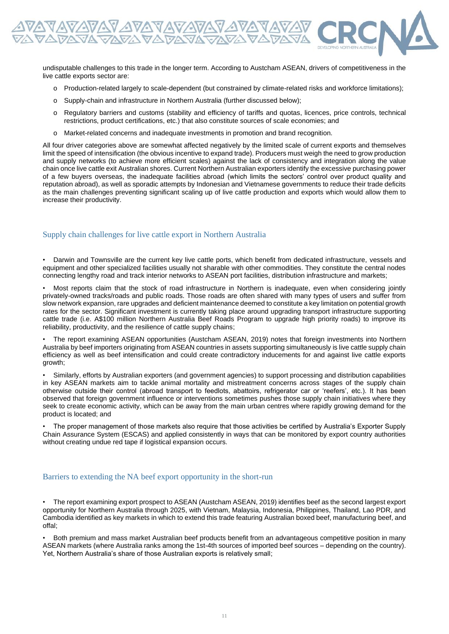

undisputable challenges to this trade in the longer term. According to Austcham ASEAN, drivers of competitiveness in the live cattle exports sector are:

- o Production-related largely to scale-dependent (but constrained by climate-related risks and workforce limitations);
- o Supply-chain and infrastructure in Northern Australia (further discussed below);
- o Regulatory barriers and customs (stability and efficiency of tariffs and quotas, licences, price controls, technical restrictions, product certifications, etc.) that also constitute sources of scale economies; and
- o Market-related concerns and inadequate investments in promotion and brand recognition.

All four driver categories above are somewhat affected negatively by the limited scale of current exports and themselves limit the speed of intensification (the obvious incentive to expand trade). Producers must weigh the need to grow production and supply networks (to achieve more efficient scales) against the lack of consistency and integration along the value chain once live cattle exit Australian shores. Current Northern Australian exporters identify the excessive purchasing power of a few buyers overseas, the inadequate facilities abroad (which limits the sectors' control over product quality and reputation abroad), as well as sporadic attempts by Indonesian and Vietnamese governments to reduce their trade deficits as the main challenges preventing significant scaling up of live cattle production and exports which would allow them to increase their productivity.

#### Supply chain challenges for live cattle export in Northern Australia

• Darwin and Townsville are the current key live cattle ports, which benefit from dedicated infrastructure, vessels and equipment and other specialized facilities usually not sharable with other commodities. They constitute the central nodes connecting lengthy road and track interior networks to ASEAN port facilities, distribution infrastructure and markets;

• Most reports claim that the stock of road infrastructure in Northern is inadequate, even when considering jointly privately-owned tracks/roads and public roads. Those roads are often shared with many types of users and suffer from slow network expansion, rare upgrades and deficient maintenance deemed to constitute a key limitation on potential growth rates for the sector. Significant investment is currently taking place around upgrading transport infrastructure supporting cattle trade (i.e. A\$100 million Northern Australia Beef Roads Program to upgrade high priority roads) to improve its reliability, productivity, and the resilience of cattle supply chains;

• The report examining ASEAN opportunities (Austcham ASEAN, 2019) notes that foreign investments into Northern Australia by beef importers originating from ASEAN countries in assets supporting simultaneously is live cattle supply chain efficiency as well as beef intensification and could create contradictory inducements for and against live cattle exports growth;

• Similarly, efforts by Australian exporters (and government agencies) to support processing and distribution capabilities in key ASEAN markets aim to tackle animal mortality and mistreatment concerns across stages of the supply chain otherwise outside their control (abroad transport to feedlots, abattoirs, refrigerator car or 'reefers', etc.). It has been observed that foreign government influence or interventions sometimes pushes those supply chain initiatives where they seek to create economic activity, which can be away from the main urban centres where rapidly growing demand for the product is located; and

• The proper management of those markets also require that those activities be certified by Australia's Exporter Supply Chain Assurance System (ESCAS) and applied consistently in ways that can be monitored by export country authorities without creating undue red tape if logistical expansion occurs.

#### Barriers to extending the NA beef export opportunity in the short-run

• The report examining export prospect to ASEAN (Austcham ASEAN, 2019) identifies beef as the second largest export opportunity for Northern Australia through 2025, with Vietnam, Malaysia, Indonesia, Philippines, Thailand, Lao PDR, and Cambodia identified as key markets in which to extend this trade featuring Australian boxed beef, manufacturing beef, and offal;

• Both premium and mass market Australian beef products benefit from an advantageous competitive position in many ASEAN markets (where Australia ranks among the 1st-4th sources of imported beef sources – depending on the country). Yet, Northern Australia's share of those Australian exports is relatively small;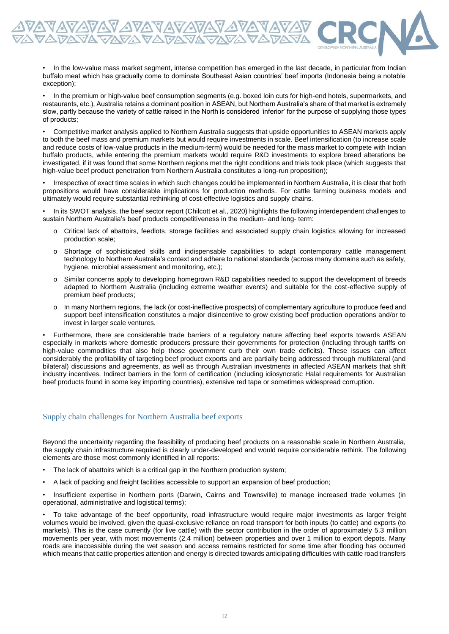• In the low-value mass market segment, intense competition has emerged in the last decade, in particular from Indian buffalo meat which has gradually come to dominate Southeast Asian countries' beef imports (Indonesia being a notable exception);

• In the premium or high-value beef consumption segments (e.g. boxed loin cuts for high-end hotels, supermarkets, and restaurants, etc.), Australia retains a dominant position in ASEAN, but Northern Australia's share of that market is extremely slow, partly because the variety of cattle raised in the North is considered 'inferior' for the purpose of supplying those types of products;

• Competitive market analysis applied to Northern Australia suggests that upside opportunities to ASEAN markets apply to both the beef mass and premium markets but would require investments in scale. Beef intensification (to increase scale and reduce costs of low-value products in the medium-term) would be needed for the mass market to compete with Indian buffalo products, while entering the premium markets would require R&D investments to explore breed alterations be investigated, if it was found that some Northern regions met the right conditions and trials took place (which suggests that high-value beef product penetration from Northern Australia constitutes a long-run proposition);

• Irrespective of exact time scales in which such changes could be implemented in Northern Australia, it is clear that both propositions would have considerable implications for production methods. For cattle farming business models and ultimately would require substantial rethinking of cost-effective logistics and supply chains.

• In its SWOT analysis, the beef sector report (Chilcott et al., 2020) highlights the following interdependent challenges to sustain Northern Australia's beef products competitiveness in the medium- and long- term:

- o Critical lack of abattoirs, feedlots, storage facilities and associated supply chain logistics allowing for increased production scale;
- o Shortage of sophisticated skills and indispensable capabilities to adapt contemporary cattle management technology to Northern Australia's context and adhere to national standards (across many domains such as safety, hygiene, microbial assessment and monitoring, etc.);
- o Similar concerns apply to developing homegrown R&D capabilities needed to support the development of breeds adapted to Northern Australia (including extreme weather events) and suitable for the cost-effective supply of premium beef products;
- o In many Northern regions, the lack (or cost-ineffective prospects) of complementary agriculture to produce feed and support beef intensification constitutes a major disincentive to grow existing beef production operations and/or to invest in larger scale ventures.

• Furthermore, there are considerable trade barriers of a regulatory nature affecting beef exports towards ASEAN especially in markets where domestic producers pressure their governments for protection (including through tariffs on high-value commodities that also help those government curb their own trade deficits). These issues can affect considerably the profitability of targeting beef product exports and are partially being addressed through multilateral (and bilateral) discussions and agreements, as well as through Australian investments in affected ASEAN markets that shift industry incentives. Indirect barriers in the form of certification (including idiosyncratic Halal requirements for Australian beef products found in some key importing countries), extensive red tape or sometimes widespread corruption.

#### Supply chain challenges for Northern Australia beef exports

Beyond the uncertainty regarding the feasibility of producing beef products on a reasonable scale in Northern Australia, the supply chain infrastructure required is clearly under-developed and would require considerable rethink. The following elements are those most commonly identified in all reports:

- The lack of abattoirs which is a critical gap in the Northern production system;
- A lack of packing and freight facilities accessible to support an expansion of beef production;

• Insufficient expertise in Northern ports (Darwin, Cairns and Townsville) to manage increased trade volumes (in operational, administrative and logistical terms);

• To take advantage of the beef opportunity, road infrastructure would require major investments as larger freight volumes would be involved, given the quasi-exclusive reliance on road transport for both inputs (to cattle) and exports (to markets). This is the case currently (for live cattle) with the sector contribution in the order of approximately 5.3 million movements per year, with most movements (2.4 million) between properties and over 1 million to export depots. Many roads are inaccessible during the wet season and access remains restricted for some time after flooding has occurred which means that cattle properties attention and energy is directed towards anticipating difficulties with cattle road transfers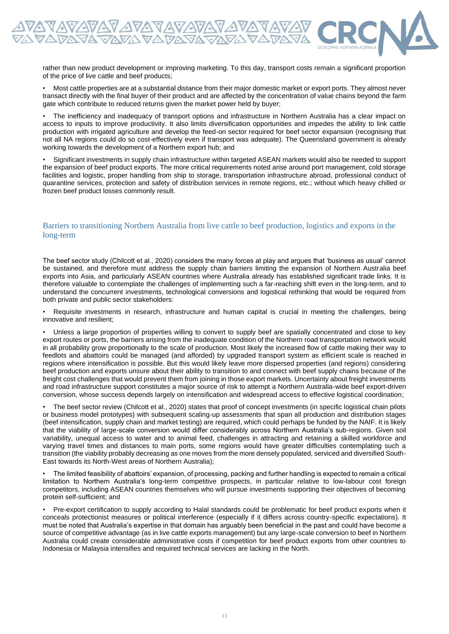rather than new product development or improving marketing. To this day, transport costs remain a significant proportion of the price of live cattle and beef products;

• Most cattle properties are at a substantial distance from their major domestic market or export ports. They almost never transact directly with the final buyer of their product and are affected by the concentration of value chains beyond the farm gate which contribute to reduced returns given the market power held by buyer;

• The inefficiency and inadequacy of transport options and infrastructure in Northern Australia has a clear impact on access to inputs to improve productivity. It also limits diversification opportunities and impedes the ability to link cattle production with irrigated agriculture and develop the feed-on sector required for beef sector expansion (recognising that not all NA regions could do so cost-effectively even if transport was adequate). The Queensland government is already working towards the development of a Northern export hub; and

• Significant investments in supply chain infrastructure within targeted ASEAN markets would also be needed to support the expansion of beef product exports. The more critical requirements noted arise around port management, cold storage facilities and logistic, proper handling from ship to storage, transportation infrastructure abroad, professional conduct of quarantine services, protection and safety of distribution services in remote regions, etc.; without which heavy chilled or frozen beef product losses commonly result.

#### Barriers to transitioning Northern Australia from live cattle to beef production, logistics and exports in the long-term

The beef sector study (Chilcott et al., 2020) considers the many forces at play and argues that 'business as usual' cannot be sustained, and therefore must address the supply chain barriers limiting the expansion of Northern Australia beef exports into Asia, and particularly ASEAN countries where Australia already has established significant trade links. It is therefore valuable to contemplate the challenges of implementing such a far-reaching shift even in the long-term, and to understand the concurrent investments, technological conversions and logistical rethinking that would be required from both private and public sector stakeholders:

• Requisite investments in research, infrastructure and human capital is crucial in meeting the challenges, being innovative and resilient;

• Unless a large proportion of properties willing to convert to supply beef are spatially concentrated and close to key export routes or ports, the barriers arising from the inadequate condition of the Northern road transportation network would in all probability grow proportionally to the scale of production. Most likely the increased flow of cattle making their way to feedlots and abattoirs could be managed (and afforded) by upgraded transport system as efficient scale is reached in regions where intensification is possible. But this would likely leave more dispersed properties (and regions) considering beef production and exports unsure about their ability to transition to and connect with beef supply chains because of the freight cost challenges that would prevent them from joining in those export markets. Uncertainty about freight investments and road infrastructure support constitutes a major source of risk to attempt a Northern Australia-wide beef export-driven conversion, whose success depends largely on intensification and widespread access to effective logistical coordination;

• The beef sector review (Chilcott et al., 2020) states that proof of concept investments (in specific logistical chain pilots or business model prototypes) with subsequent scaling-up assessments that span all production and distribution stages (beef intensification, supply chain and market testing) are required, which could perhaps be funded by the NAIF. It is likely that the viability of large-scale conversion would differ considerably across Northern Australia's sub-regions. Given soil variability, unequal access to water and to animal feed, challenges in attracting and retaining a skilled workforce and varying travel times and distances to main ports, some regions would have greater difficulties contemplating such a transition (the viability probably decreasing as one moves from the more densely populated, serviced and diversified South-East towards its North-West areas of Northern Australia);

• The limited feasibility of abattoirs' expansion, of processing, packing and further handling is expected to remain a critical limitation to Northern Australia's long-term competitive prospects, in particular relative to low-labour cost foreign competitors, including ASEAN countries themselves who will pursue investments supporting their objectives of becoming protein self-sufficient; and

• Pre-export certification to supply according to Halal standards could be problematic for beef product exports when it conceals protectionist measures or political interference (especially if it differs across country-specific expectations). It must be noted that Australia's expertise in that domain has arguably been beneficial in the past and could have become a source of competitive advantage (as in live cattle exports management) but any large-scale conversion to beef in Northern Australia could create considerable administrative costs if competition for beef product exports from other countries to Indonesia or Malaysia intensifies and required technical services are lacking in the North.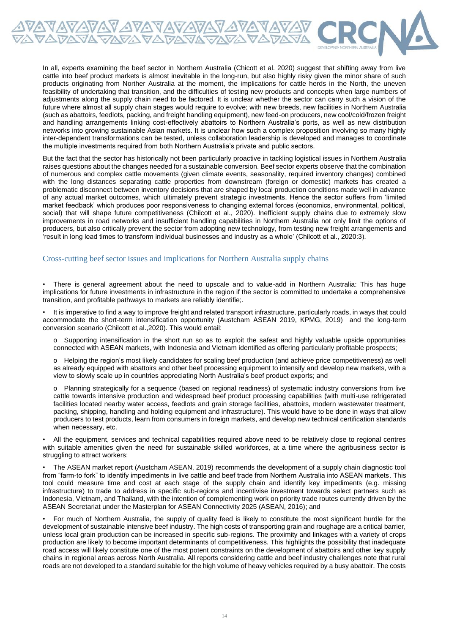

In all, experts examining the beef sector in Northern Australia (Chicott et al. 2020) suggest that shifting away from live cattle into beef product markets is almost inevitable in the long-run, but also highly risky given the minor share of such products originating from Norther Australia at the moment, the implications for cattle herds in the North, the uneven feasibility of undertaking that transition, and the difficulties of testing new products and concepts when large numbers of adjustments along the supply chain need to be factored. It is unclear whether the sector can carry such a vision of the future where almost all supply chain stages would require to evolve; with new breeds, new facilities in Northern Australia (such as abattoirs, feedlots, packing, and freight handling equipment), new feed-on producers, new cool/cold/frozen freight and handling arrangements linking cost-effectively abattoirs to Northern Australia's ports, as well as new distribution networks into growing sustainable Asian markets. It is unclear how such a complex proposition involving so many highly inter-dependent transformations can be tested, unless collaboration leadership is developed and manages to coordinate the multiple investments required from both Northern Australia's private and public sectors.

But the fact that the sector has historically not been particularly proactive in tackling logistical issues in Northern Australia raises questions about the changes needed for a sustainable conversion. Beef sector experts observe that the combination of numerous and complex cattle movements (given climate events, seasonality, required inventory changes) combined with the long distances separating cattle properties from downstream (foreign or domestic) markets has created a problematic disconnect between inventory decisions that are shaped by local production conditions made well in advance of any actual market outcomes, which ultimately prevent strategic investments. Hence the sector suffers from 'limited market feedback' which produces poor responsiveness to changing external forces (economics, environmental, political, social) that will shape future competitiveness (Chilcott et al., 2020). Inefficient supply chains due to extremely slow improvements in road networks and insufficient handling capabilities in Northern Australia not only limit the options of producers, but also critically prevent the sector from adopting new technology, from testing new freight arrangements and 'result in long lead times to transform individual businesses and industry as a whole' (Chilcott et al., 2020:3).

#### Cross-cutting beef sector issues and implications for Northern Australia supply chains

• There is general agreement about the need to upscale and to value-add in Northern Australia: This has huge implications for future investments in infrastructure in the region if the sector is committed to undertake a comprehensive transition, and profitable pathways to markets are reliably identifie;.

• It is imperative to find a way to improve freight and related transport infrastructure, particularly roads, in ways that could accommodate the short-term intensification opportunity (Austcham ASEAN 2019, KPMG, 2019) and the long-term conversion scenario (Chilcott et al.,2020). This would entail:

o Supporting intensification in the short run so as to exploit the safest and highly valuable upside opportunities connected with ASEAN markets, with Indonesia and Vietnam identified as offering particularly profitable prospects;

o Helping the region's most likely candidates for scaling beef production (and achieve price competitiveness) as well as already equipped with abattoirs and other beef processing equipment to intensify and develop new markets, with a view to slowly scale up in countries appreciating North Australia's beef product exports; and

o Planning strategically for a sequence (based on regional readiness) of systematic industry conversions from live cattle towards intensive production and widespread beef product processing capabilities (with multi-use refrigerated facilities located nearby water access, feedlots and grain storage facilities, abattoirs, modern wastewater treatment, packing, shipping, handling and holding equipment and infrastructure). This would have to be done in ways that allow producers to test products, learn from consumers in foreign markets, and develop new technical certification standards when necessary, etc.

• All the equipment, services and technical capabilities required above need to be relatively close to regional centres with suitable amenities given the need for sustainable skilled workforces, at a time where the agribusiness sector is struggling to attract workers;

• The ASEAN market report (Austcham ASEAN, 2019) recommends the development of a supply chain diagnostic tool from "farm-to fork" to identify impediments in live cattle and beef trade from Northern Australia into ASEAN markets. This tool could measure time and cost at each stage of the supply chain and identify key impediments (e.g. missing infrastructure) to trade to address in specific sub-regions and incentivise investment towards select partners such as Indonesia, Vietnam, and Thailand, with the intention of complementing work on priority trade routes currently driven by the ASEAN Secretariat under the Masterplan for ASEAN Connectivity 2025 (ASEAN, 2016); and

• For much of Northern Australia, the supply of quality feed is likely to constitute the most significant hurdle for the development of sustainable intensive beef industry. The high costs of transporting grain and roughage are a critical barrier, unless local grain production can be increased in specific sub-regions. The proximity and linkages with a variety of crops production are likely to become important determinants of competitiveness. This highlights the possibility that inadequate road access will likely constitute one of the most potent constraints on the development of abattoirs and other key supply chains in regional areas across North Australia. All reports considering cattle and beef industry challenges note that rural roads are not developed to a standard suitable for the high volume of heavy vehicles required by a busy abattoir. The costs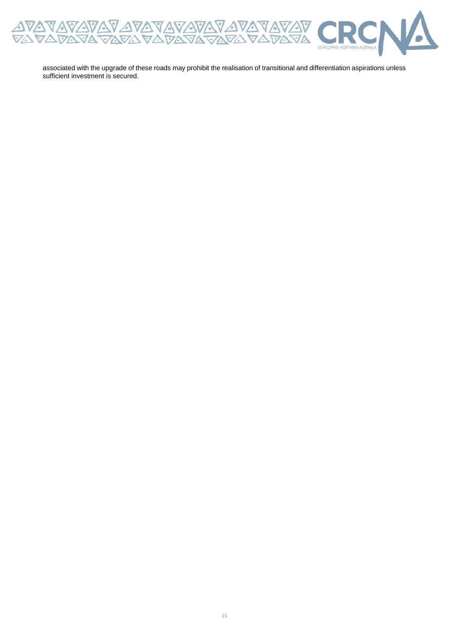

associated with the upgrade of these roads may prohibit the realisation of transitional and differentiation aspirations unless sufficient investment is secured.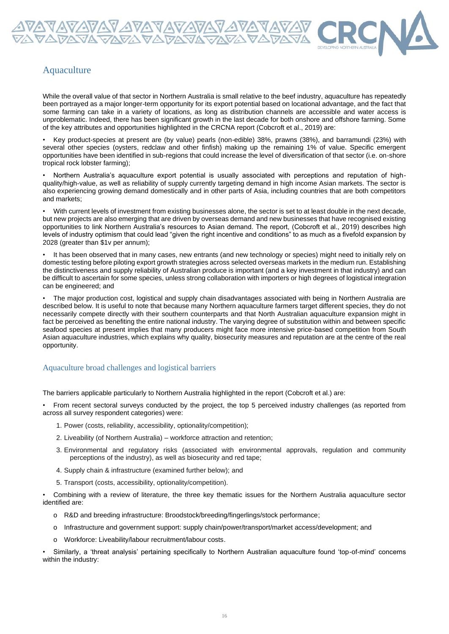

## Aquaculture

While the overall value of that sector in Northern Australia is small relative to the beef industry, aquaculture has repeatedly been portrayed as a major longer-term opportunity for its export potential based on locational advantage, and the fact that some farming can take in a variety of locations, as long as distribution channels are accessible and water access is unproblematic. Indeed, there has been significant growth in the last decade for both onshore and offshore farming. Some of the key attributes and opportunities highlighted in the CRCNA report (Cobcroft et al., 2019) are:

• Key product-species at present are (by value) pearls (non-edible) 38%, prawns (38%), and barramundi (23%) with several other species (oysters, redclaw and other finfish) making up the remaining 1% of value. Specific emergent opportunities have been identified in sub-regions that could increase the level of diversification of that sector (i.e. on-shore tropical rock lobster farming);

• Northern Australia's aquaculture export potential is usually associated with perceptions and reputation of highquality/high-value, as well as reliability of supply currently targeting demand in high income Asian markets. The sector is also experiencing growing demand domestically and in other parts of Asia, including countries that are both competitors and markets;

• With current levels of investment from existing businesses alone, the sector is set to at least double in the next decade, but new projects are also emerging that are driven by overseas demand and new businesses that have recognised existing opportunities to link Northern Australia's resources to Asian demand. The report, (Cobcroft et al., 2019) describes high levels of industry optimism that could lead "given the right incentive and conditions" to as much as a fivefold expansion by 2028 (greater than \$1v per annum);

It has been observed that in many cases, new entrants (and new technology or species) might need to initially rely on domestic testing before piloting export growth strategies across selected overseas markets in the medium run. Establishing the distinctiveness and supply reliability of Australian produce is important (and a key investment in that industry) and can be difficult to ascertain for some species, unless strong collaboration with importers or high degrees of logistical integration can be engineered; and

• The major production cost, logistical and supply chain disadvantages associated with being in Northern Australia are described below. It is useful to note that because many Northern aquaculture farmers target different species, they do not necessarily compete directly with their southern counterparts and that North Australian aquaculture expansion might in fact be perceived as benefiting the entire national industry. The varying degree of substitution within and between specific seafood species at present implies that many producers might face more intensive price-based competition from South Asian aquaculture industries, which explains why quality, biosecurity measures and reputation are at the centre of the real opportunity.

#### Aquaculture broad challenges and logistical barriers

The barriers applicable particularly to Northern Australia highlighted in the report (Cobcroft et al.) are:

• From recent sectoral surveys conducted by the project, the top 5 perceived industry challenges (as reported from across all survey respondent categories) were:

- 1. Power (costs, reliability, accessibility, optionality/competition);
- 2. Liveability (of Northern Australia) workforce attraction and retention;
- 3. Environmental and regulatory risks (associated with environmental approvals, regulation and community perceptions of the industry), as well as biosecurity and red tape;
- 4. Supply chain & infrastructure (examined further below); and
- 5. Transport (costs, accessibility, optionality/competition).

• Combining with a review of literature, the three key thematic issues for the Northern Australia aquaculture sector identified are:

- o R&D and breeding infrastructure: Broodstock/breeding/fingerlings/stock performance;
- o Infrastructure and government support: supply chain/power/transport/market access/development; and
- o Workforce: Liveability/labour recruitment/labour costs.

• Similarly, a 'threat analysis' pertaining specifically to Northern Australian aquaculture found 'top-of-mind' concerns within the industry: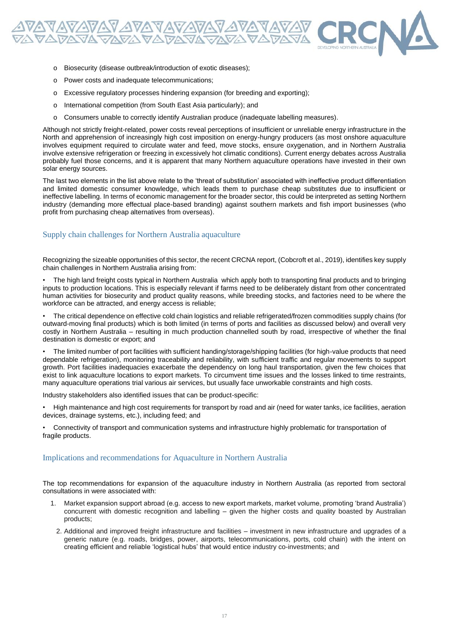

- o Biosecurity (disease outbreak/introduction of exotic diseases);
- o Power costs and inadequate telecommunications;
- o Excessive regulatory processes hindering expansion (for breeding and exporting);
- o International competition (from South East Asia particularly); and
- o Consumers unable to correctly identify Australian produce (inadequate labelling measures).

Although not strictly freight-related, power costs reveal perceptions of insufficient or unreliable energy infrastructure in the North and apprehension of increasingly high cost imposition on energy-hungry producers (as most onshore aquaculture involves equipment required to circulate water and feed, move stocks, ensure oxygenation, and in Northern Australia involve extensive refrigeration or freezing in excessively hot climatic conditions). Current energy debates across Australia probably fuel those concerns, and it is apparent that many Northern aquaculture operations have invested in their own solar energy sources.

The last two elements in the list above relate to the 'threat of substitution' associated with ineffective product differentiation and limited domestic consumer knowledge, which leads them to purchase cheap substitutes due to insufficient or ineffective labelling. In terms of economic management for the broader sector, this could be interpreted as setting Northern industry (demanding more effectual place-based branding) against southern markets and fish import businesses (who profit from purchasing cheap alternatives from overseas).

#### Supply chain challenges for Northern Australia aquaculture

Recognizing the sizeable opportunities of this sector, the recent CRCNA report, (Cobcroft et al., 2019), identifies key supply chain challenges in Northern Australia arising from:

• The high land freight costs typical in Northern Australia which apply both to transporting final products and to bringing inputs to production locations. This is especially relevant if farms need to be deliberately distant from other concentrated human activities for biosecurity and product quality reasons, while breeding stocks, and factories need to be where the workforce can be attracted, and energy access is reliable;

• The critical dependence on effective cold chain logistics and reliable refrigerated/frozen commodities supply chains (for outward-moving final products) which is both limited (in terms of ports and facilities as discussed below) and overall very costly in Northern Australia – resulting in much production channelled south by road, irrespective of whether the final destination is domestic or export; and

• The limited number of port facilities with sufficient handing/storage/shipping facilities (for high-value products that need dependable refrigeration), monitoring traceability and reliability, with sufficient traffic and regular movements to support growth. Port facilities inadequacies exacerbate the dependency on long haul transportation, given the few choices that exist to link aquaculture locations to export markets. To circumvent time issues and the losses linked to time restraints, many aquaculture operations trial various air services, but usually face unworkable constraints and high costs.

Industry stakeholders also identified issues that can be product-specific:

• High maintenance and high cost requirements for transport by road and air (need for water tanks, ice facilities, aeration devices, drainage systems, etc.), including feed; and

• Connectivity of transport and communication systems and infrastructure highly problematic for transportation of fragile products.

#### Implications and recommendations for Aquaculture in Northern Australia

The top recommendations for expansion of the aquaculture industry in Northern Australia (as reported from sectoral consultations in were associated with:

- 1. Market expansion support abroad (e.g. access to new export markets, market volume, promoting 'brand Australia') concurrent with domestic recognition and labelling – given the higher costs and quality boasted by Australian products;
	- 2. Additional and improved freight infrastructure and facilities investment in new infrastructure and upgrades of a generic nature (e.g. roads, bridges, power, airports, telecommunications, ports, cold chain) with the intent on creating efficient and reliable 'logistical hubs' that would entice industry co-investments; and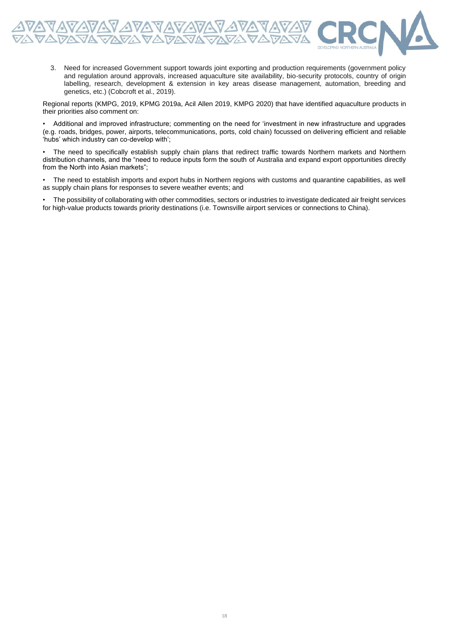

3. Need for increased Government support towards joint exporting and production requirements (government policy and regulation around approvals, increased aquaculture site availability, bio-security protocols, country of origin labelling, research, development & extension in key areas disease management, automation, breeding and genetics, etc.) (Cobcroft et al., 2019).

Regional reports (KMPG, 2019, KPMG 2019a, Acil Allen 2019, KMPG 2020) that have identified aquaculture products in their priorities also comment on:

• Additional and improved infrastructure; commenting on the need for 'investment in new infrastructure and upgrades (e.g. roads, bridges, power, airports, telecommunications, ports, cold chain) focussed on delivering efficient and reliable 'hubs' which industry can co-develop with';

• The need to specifically establish supply chain plans that redirect traffic towards Northern markets and Northern distribution channels, and the "need to reduce inputs form the south of Australia and expand export opportunities directly from the North into Asian markets";

• The need to establish imports and export hubs in Northern regions with customs and quarantine capabilities, as well as supply chain plans for responses to severe weather events; and

• The possibility of collaborating with other commodities, sectors or industries to investigate dedicated air freight services for high-value products towards priority destinations (i.e. Townsville airport services or connections to China).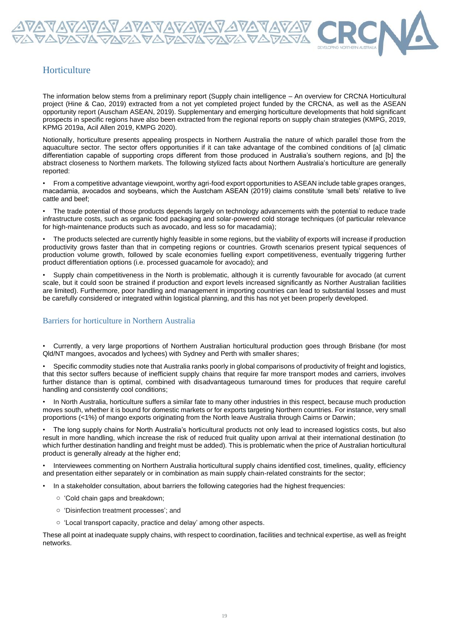## **Horticulture**

The information below stems from a preliminary report (Supply chain intelligence – An overview for CRCNA Horticultural project (Hine & Cao, 2019) extracted from a not yet completed project funded by the CRCNA, as well as the ASEAN opportunity report (Auscham ASEAN, 2019). Supplementary and emerging horticulture developments that hold significant prospects in specific regions have also been extracted from the regional reports on supply chain strategies (KMPG, 2019, KPMG 2019a, Acil Allen 2019, KMPG 2020).

<u> 17avavavavavavavavavavav</u><br>Navavavavavavavavavavavav

Notionally, horticulture presents appealing prospects in Northern Australia the nature of which parallel those from the aquaculture sector. The sector offers opportunities if it can take advantage of the combined conditions of [a] climatic differentiation capable of supporting crops different from those produced in Australia's southern regions, and [b] the abstract closeness to Northern markets. The following stylized facts about Northern Australia's horticulture are generally reported:

• From a competitive advantage viewpoint, worthy agri-food export opportunities to ASEAN include table grapes oranges, macadamia, avocados and soybeans, which the Austcham ASEAN (2019) claims constitute 'small bets' relative to live cattle and beef;

• The trade potential of those products depends largely on technology advancements with the potential to reduce trade infrastructure costs, such as organic food packaging and solar-powered cold storage techniques (of particular relevance for high-maintenance products such as avocado, and less so for macadamia);

• The products selected are currently highly feasible in some regions, but the viability of exports will increase if production productivity grows faster than that in competing regions or countries. Growth scenarios present typical sequences of production volume growth, followed by scale economies fuelling export competitiveness, eventually triggering further product differentiation options (i.e. processed guacamole for avocado); and

• Supply chain competitiveness in the North is problematic, although it is currently favourable for avocado (at current scale, but it could soon be strained if production and export levels increased significantly as Norther Australian facilities are limited). Furthermore, poor handling and management in importing countries can lead to substantial losses and must be carefully considered or integrated within logistical planning, and this has not yet been properly developed.

#### Barriers for horticulture in Northern Australia

• Currently, a very large proportions of Northern Australian horticultural production goes through Brisbane (for most Qld/NT mangoes, avocados and lychees) with Sydney and Perth with smaller shares;

• Specific commodity studies note that Australia ranks poorly in global comparisons of productivity of freight and logistics, that this sector suffers because of inefficient supply chains that require far more transport modes and carriers, involves further distance than is optimal, combined with disadvantageous turnaround times for produces that require careful handling and consistently cool conditions;

• In North Australia, horticulture suffers a similar fate to many other industries in this respect, because much production moves south, whether it is bound for domestic markets or for exports targeting Northern countries. For instance, very small proportions (<1%) of mango exports originating from the North leave Australia through Cairns or Darwin;

• The long supply chains for North Australia's horticultural products not only lead to increased logistics costs, but also result in more handling, which increase the risk of reduced fruit quality upon arrival at their international destination (to which further destination handling and freight must be added). This is problematic when the price of Australian horticultural product is generally already at the higher end;

• Interviewees commenting on Northern Australia horticultural supply chains identified cost, timelines, quality, efficiency and presentation either separately or in combination as main supply chain-related constraints for the sector;

In a stakeholder consultation, about barriers the following categories had the highest frequencies:

- o 'Cold chain gaps and breakdown;
- o 'Disinfection treatment processes'; and
- o 'Local transport capacity, practice and delay' among other aspects.

These all point at inadequate supply chains, with respect to coordination, facilities and technical expertise, as well as freight networks.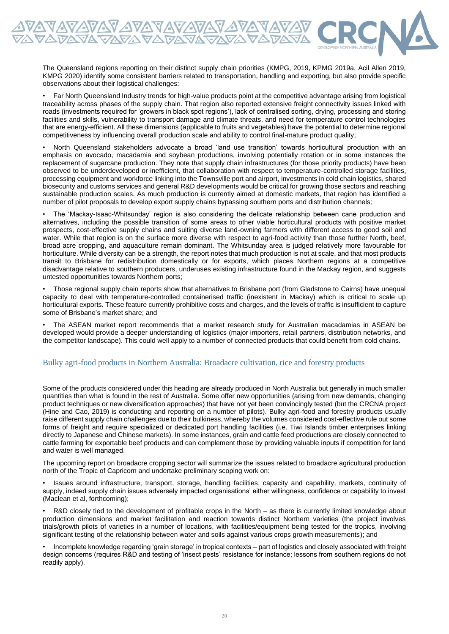The Queensland regions reporting on their distinct supply chain priorities (KMPG, 2019, KPMG 2019a, Acil Allen 2019, KMPG 2020) identify some consistent barriers related to transportation, handling and exporting, but also provide specific observations about their logistical challenges:

• Far North Queensland Industry trends for high-value products point at the competitive advantage arising from logistical traceability across phases of the supply chain. That region also reported extensive freight connectivity issues linked with roads (investments required for 'growers in black spot regions'), lack of centralised sorting, drying, processing and storing facilities and skills, vulnerability to transport damage and climate threats, and need for temperature control technologies that are energy-efficient. All these dimensions (applicable to fruits and vegetables) have the potential to determine regional competitiveness by influencing overall production scale and ability to control final-mature product quality;

• North Queensland stakeholders advocate a broad 'land use transition' towards horticultural production with an emphasis on avocado, macadamia and soybean productions, involving potentially rotation or in some instances the replacement of sugarcane production. They note that supply chain infrastructures (for those priority products) have been observed to be underdeveloped or inefficient, that collaboration with respect to temperature-controlled storage facilities, processing equipment and workforce linking into the Townsville port and airport, investments in cold chain logistics, shared biosecurity and customs services and general R&D developments would be critical for growing those sectors and reaching sustainable production scales. As much production is currently aimed at domestic markets, that region has identified a number of pilot proposals to develop export supply chains bypassing southern ports and distribution channels;

• The 'Mackay-Isaac-Whitsunday' region is also considering the delicate relationship between cane production and alternatives, including the possible transition of some areas to other viable horticultural products with positive market prospects, cost-effective supply chains and suiting diverse land-owning farmers with different access to good soil and water. While that region is on the surface more diverse with respect to agri-food activity than those further North, beef, broad acre cropping, and aquaculture remain dominant. The Whitsunday area is judged relatively more favourable for horticulture. While diversity can be a strength, the report notes that much production is not at scale, and that most products transit to Brisbane for redistribution domestically or for exports, which places Northern regions at a competitive disadvantage relative to southern producers, underuses existing infrastructure found in the Mackay region, and suggests untested opportunities towards Northern ports;

• Those regional supply chain reports show that alternatives to Brisbane port (from Gladstone to Cairns) have unequal capacity to deal with temperature-controlled containerised traffic (inexistent in Mackay) which is critical to scale up horticultural exports. These feature currently prohibitive costs and charges, and the levels of traffic is insufficient to capture some of Brisbane's market share; and

• The ASEAN market report recommends that a market research study for Australian macadamias in ASEAN be developed would provide a deeper understanding of logistics (major importers, retail partners, distribution networks, and the competitor landscape). This could well apply to a number of connected products that could benefit from cold chains.

#### Bulky agri-food products in Northern Australia: Broadacre cultivation, rice and forestry products

Some of the products considered under this heading are already produced in North Australia but generally in much smaller quantities than what is found in the rest of Australia. Some offer new opportunities (arising from new demands, changing product techniques or new diversification approaches) that have not yet been convincingly tested (but the CRCNA project (Hine and Cao, 2019) is conducting and reporting on a number of pilots). Bulky agri-food and forestry products usually raise different supply chain challenges due to their bulkiness, whereby the volumes considered cost-effective rule out some forms of freight and require specialized or dedicated port handling facilities (i.e. Tiwi Islands timber enterprises linking directly to Japanese and Chinese markets). In some instances, grain and cattle feed productions are closely connected to cattle farming for exportable beef products and can complement those by providing valuable inputs if competition for land and water is well managed.

The upcoming report on broadacre cropping sector will summarize the issues related to broadacre agricultural production north of the Tropic of Capricorn and undertake preliminary scoping work on:

• Issues around infrastructure, transport, storage, handling facilities, capacity and capability, markets, continuity of supply, indeed supply chain issues adversely impacted organisations' either willingness, confidence or capability to invest (Maclean et al, forthcoming);

• R&D closely tied to the development of profitable crops in the North – as there is currently limited knowledge about production dimensions and market facilitation and reaction towards distinct Northern varieties (the project involves trials/growth pilots of varieties in a number of locations, with facilities/equipment being tested for the tropics, involving significant testing of the relationship between water and soils against various crops growth measurements); and

• Incomplete knowledge regarding 'grain storage' in tropical contexts – part of logistics and closely associated with freight design concerns (requires R&D and testing of 'insect pests' resistance for instance; lessons from southern regions do not readily apply).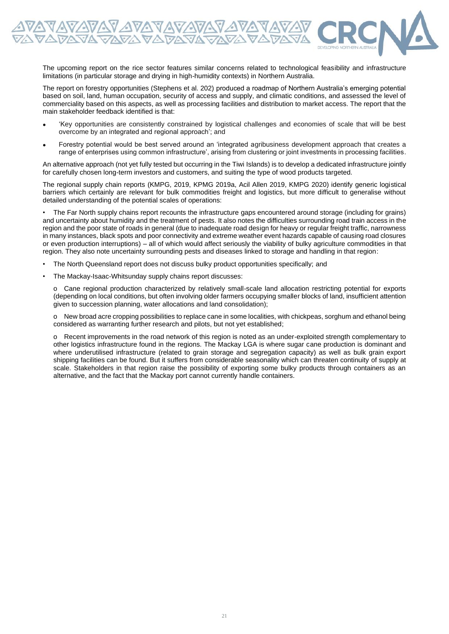The upcoming report on the rice sector features similar concerns related to technological feasibility and infrastructure limitations (in particular storage and drying in high-humidity contexts) in Northern Australia.

The report on forestry opportunities (Stephens et al. 202) produced a roadmap of Northern Australia's emerging potential based on soil, land, human occupation, security of access and supply, and climatic conditions, and assessed the level of commerciality based on this aspects, as well as processing facilities and distribution to market access. The report that the main stakeholder feedback identified is that:

- 'Key opportunities are consistently constrained by logistical challenges and economies of scale that will be best overcome by an integrated and regional approach'; and
- Forestry potential would be best served around an 'integrated agribusiness development approach that creates a range of enterprises using common infrastructure', arising from clustering or joint investments in processing facilities.

An alternative approach (not yet fully tested but occurring in the Tiwi Islands) is to develop a dedicated infrastructure jointly for carefully chosen long-term investors and customers, and suiting the type of wood products targeted.

The regional supply chain reports (KMPG, 2019, KPMG 2019a, Acil Allen 2019, KMPG 2020) identify generic logistical barriers which certainly are relevant for bulk commodities freight and logistics, but more difficult to generalise without detailed understanding of the potential scales of operations:

• The Far North supply chains report recounts the infrastructure gaps encountered around storage (including for grains) and uncertainty about humidity and the treatment of pests. It also notes the difficulties surrounding road train access in the region and the poor state of roads in general (due to inadequate road design for heavy or regular freight traffic, narrowness in many instances, black spots and poor connectivity and extreme weather event hazards capable of causing road closures or even production interruptions) – all of which would affect seriously the viability of bulky agriculture commodities in that region. They also note uncertainty surrounding pests and diseases linked to storage and handling in that region:

- The North Queensland report does not discuss bulky product opportunities specifically; and
- The Mackay-Isaac-Whitsunday supply chains report discusses:

FRYAVAV AVAVAVAVAVAVA<br>FRYAVAVAVAVAVAVAVA

o Cane regional production characterized by relatively small-scale land allocation restricting potential for exports (depending on local conditions, but often involving older farmers occupying smaller blocks of land, insufficient attention given to succession planning, water allocations and land consolidation);

o New broad acre cropping possibilities to replace cane in some localities, with chickpeas, sorghum and ethanol being considered as warranting further research and pilots, but not yet established;

o Recent improvements in the road network of this region is noted as an under-exploited strength complementary to other logistics infrastructure found in the regions. The Mackay LGA is where sugar cane production is dominant and where underutilised infrastructure (related to grain storage and segregation capacity) as well as bulk grain export shipping facilities can be found. But it suffers from considerable seasonality which can threaten continuity of supply at scale. Stakeholders in that region raise the possibility of exporting some bulky products through containers as an alternative, and the fact that the Mackay port cannot currently handle containers.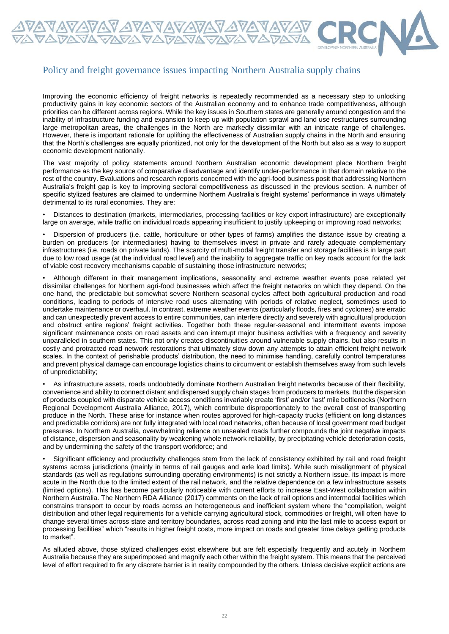

<u> A VAVAVAVAVAVAVAVAVAVAV</u><br>VAVAVA VAVAVAVAVAVAVAV

Improving the economic efficiency of freight networks is repeatedly recommended as a necessary step to unlocking productivity gains in key economic sectors of the Australian economy and to enhance trade competitiveness, although priorities can be different across regions. While the key issues in Southern states are generally around congestion and the inability of infrastructure funding and expansion to keep up with population sprawl and land use restructures surrounding large metropolitan areas, the challenges in the North are markedly dissimilar with an intricate range of challenges. However, there is important rationale for uplifting the effectiveness of Australian supply chains in the North and ensuring that the North's challenges are equally prioritized, not only for the development of the North but also as a way to support economic development nationally.

The vast majority of policy statements around Northern Australian economic development place Northern freight performance as the key source of comparative disadvantage and identify under-performance in that domain relative to the rest of the country. Evaluations and research reports concerned with the agri-food business posit that addressing Northern Australia's freight gap is key to improving sectoral competitiveness as discussed in the previous section. A number of specific stylized features are claimed to undermine Northern Australia's freight systems' performance in ways ultimately detrimental to its rural economies. They are:

• Distances to destination (markets, intermediaries, processing facilities or key export infrastructure) are exceptionally large on average, while traffic on individual roads appearing insufficient to justify upkeeping or improving road networks;

• Dispersion of producers (i.e. cattle, horticulture or other types of farms) amplifies the distance issue by creating a burden on producers (or intermediaries) having to themselves invest in private and rarely adequate complementary infrastructures (i.e. roads on private lands). The scarcity of multi-modal freight transfer and storage facilities is in large part due to low road usage (at the individual road level) and the inability to aggregate traffic on key roads account for the lack of viable cost recovery mechanisms capable of sustaining those infrastructure networks;

• Although different in their management implications, seasonality and extreme weather events pose related yet dissimilar challenges for Northern agri-food businesses which affect the freight networks on which they depend. On the one hand, the predictable but somewhat severe Northern seasonal cycles affect both agricultural production and road conditions, leading to periods of intensive road uses alternating with periods of relative neglect, sometimes used to undertake maintenance or overhaul. In contrast, extreme weather events (particularly floods, fires and cyclones) are erratic and can unexpectedly prevent access to entire communities, can interfere directly and severely with agricultural production and obstruct entire regions' freight activities. Together both these regular-seasonal and intermittent events impose significant maintenance costs on road assets and can interrupt major business activities with a frequency and severity unparalleled in southern states. This not only creates discontinuities around vulnerable supply chains, but also results in costly and protracted road network restorations that ultimately slow down any attempts to attain efficient freight network scales. In the context of perishable products' distribution, the need to minimise handling, carefully control temperatures and prevent physical damage can encourage logistics chains to circumvent or establish themselves away from such levels of unpredictability;

• As infrastructure assets, roads undoubtedly dominate Northern Australian freight networks because of their flexibility, convenience and ability to connect distant and dispersed supply chain stages from producers to markets. But the dispersion of products coupled with disparate vehicle access conditions invariably create 'first' and/or 'last' mile bottlenecks (Northern Regional Development Australia Alliance, 2017), which contribute disproportionately to the overall cost of transporting produce in the North. These arise for instance when routes approved for high-capacity trucks (efficient on long distances and predictable corridors) are not fully integrated with local road networks, often because of local government road budget pressures. In Northern Australia, overwhelming reliance on unsealed roads further compounds the joint negative impacts of distance, dispersion and seasonality by weakening whole network reliability, by precipitating vehicle deterioration costs, and by undermining the safety of the transport workforce; and

• Significant efficiency and productivity challenges stem from the lack of consistency exhibited by rail and road freight systems across jurisdictions (mainly in terms of rail gauges and axle load limits). While such misalignment of physical standards (as well as regulations surrounding operating environments) is not strictly a Northern issue, its impact is more acute in the North due to the limited extent of the rail network, and the relative dependence on a few infrastructure assets (limited options). This has become particularly noticeable with current efforts to increase East-West collaboration within Northern Australia. The Northern RDA Alliance (2017) comments on the lack of rail options and intermodal facilities which constrains transport to occur by roads across an heterogeneous and inefficient system where the "compilation, weight distribution and other legal requirements for a vehicle carrying agricultural stock, commodities or freight, will often have to change several times across state and territory boundaries, across road zoning and into the last mile to access export or processing facilities" which "results in higher freight costs, more impact on roads and greater time delays getting products to market".

As alluded above, those stylized challenges exist elsewhere but are felt especially frequently and acutely in Northern Australia because they are superimposed and magnify each other within the freight system. This means that the perceived level of effort required to fix any discrete barrier is in reality compounded by the others. Unless decisive explicit actions are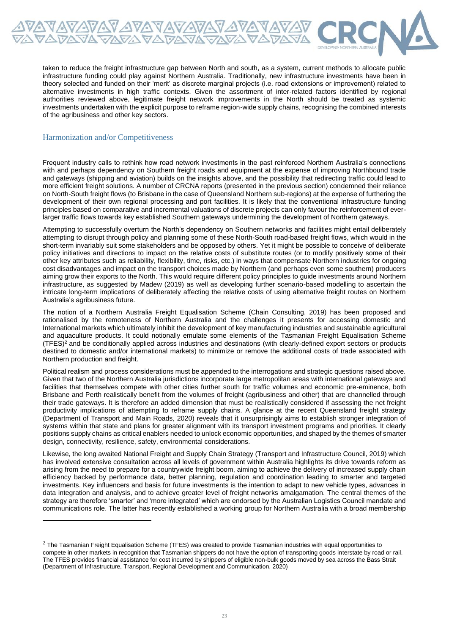

taken to reduce the freight infrastructure gap between North and south, as a system, current methods to allocate public infrastructure funding could play against Northern Australia. Traditionally, new infrastructure investments have been in theory selected and funded on their 'merit' as discrete marginal projects (i.e. road extensions or improvement) related to alternative investments in high traffic contexts. Given the assortment of inter-related factors identified by regional authorities reviewed above, legitimate freight network improvements in the North should be treated as systemic investments undertaken with the explicit purpose to reframe region-wide supply chains, recognising the combined interests of the agribusiness and other key sectors.

#### Harmonization and/or Competitiveness

Frequent industry calls to rethink how road network investments in the past reinforced Northern Australia's connections with and perhaps dependency on Southern freight roads and equipment at the expense of improving Northbound trade and gateways (shipping and aviation) builds on the insights above, and the possibility that redirecting traffic could lead to more efficient freight solutions. A number of CRCNA reports (presented in the previous section) condemned their reliance on North-South freight flows (to Brisbane in the case of Queensland Northern sub-regions) at the expense of furthering the development of their own regional processing and port facilities. It is likely that the conventional infrastructure funding principles based on comparative and incremental valuations of discrete projects can only favour the reinforcement of everlarger traffic flows towards key established Southern gateways undermining the development of Northern gateways.

Attempting to successfully overturn the North's dependency on Southern networks and facilities might entail deliberately attempting to disrupt through policy and planning some of these North-South road-based freight flows, which would in the short-term invariably suit some stakeholders and be opposed by others. Yet it might be possible to conceive of deliberate policy initiatives and directions to impact on the relative costs of substitute routes (or to modify positively some of their other key attributes such as reliability, flexibility, time, risks, etc.) in ways that compensate Northern industries for ongoing cost disadvantages and impact on the transport choices made by Northern (and perhaps even some southern) producers aiming grow their exports to the North. This would require different policy principles to guide investments around Northern infrastructure, as suggested by Madew (2019) as well as developing further scenario-based modelling to ascertain the intricate long-term implications of deliberately affecting the relative costs of using alternative freight routes on Northern Australia's agribusiness future.

The notion of a Northern Australia Freight Equalisation Scheme (Chain Consulting, 2019) has been proposed and rationalised by the remoteness of Northern Australia and the challenges it presents for accessing domestic and International markets which ultimately inhibit the development of key manufacturing industries and sustainable agricultural and aquaculture products. It could notionally emulate some elements of the Tasmanian Freight Equalisation Scheme (TFES)<sup>2</sup> and be conditionally applied across industries and destinations (with clearly-defined export sectors or products destined to domestic and/or international markets) to minimize or remove the additional costs of trade associated with Northern production and freight.

Political realism and process considerations must be appended to the interrogations and strategic questions raised above. Given that two of the Northern Australia jurisdictions incorporate large metropolitan areas with international gateways and facilities that themselves compete with other cities further south for traffic volumes and economic pre-eminence, both Brisbane and Perth realistically benefit from the volumes of freight (agribusiness and other) that are channelled through their trade gateways. It is therefore an added dimension that must be realistically considered if assessing the net freight productivity implications of attempting to reframe supply chains. A glance at the recent Queensland freight strategy (Department of Transport and Main Roads, 2020) reveals that it unsurprisingly aims to establish stronger integration of systems within that state and plans for greater alignment with its transport investment programs and priorities. It clearly positions supply chains as critical enablers needed to unlock economic opportunities, and shaped by the themes of smarter design, connectivity, resilience, safety, environmental considerations.

Likewise, the long awaited National Freight and Supply Chain Strategy (Transport and Infrastructure Council, 2019) which has involved extensive consultation across all levels of government within Australia highlights its drive towards reform as arising from the need to prepare for a countrywide freight boom, aiming to achieve the delivery of increased supply chain efficiency backed by performance data, better planning, regulation and coordination leading to smarter and targeted investments. Key influencers and basis for future investments is the intention to adapt to new vehicle types, advances in data integration and analysis, and to achieve greater level of freight networks amalgamation. The central themes of the strategy are therefore 'smarter' and 'more integrated' which are endorsed by the Australian Logistics Council mandate and communications role. The latter has recently established a working group for Northern Australia with a broad membership

 $2$  The Tasmanian Freight Equalisation Scheme (TFES) was created to provide Tasmanian industries with equal opportunities to compete in other markets in recognition that Tasmanian shippers do not have the option of transporting goods interstate by road or rail. The TFES provides financial assistance for cost incurred by shippers of eligible non-bulk goods moved by sea across the Bass Strait (Department of Infrastructure, Transport, Regional Development and Communication, 2020)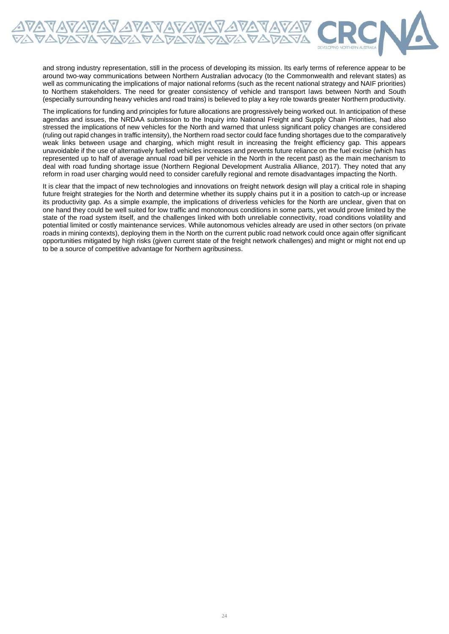

and strong industry representation, still in the process of developing its mission. Its early terms of reference appear to be around two-way communications between Northern Australian advocacy (to the Commonwealth and relevant states) as well as communicating the implications of major national reforms (such as the recent national strategy and NAIF priorities) to Northern stakeholders. The need for greater consistency of vehicle and transport laws between North and South (especially surrounding heavy vehicles and road trains) is believed to play a key role towards greater Northern productivity.

The implications for funding and principles for future allocations are progressively being worked out. In anticipation of these agendas and issues, the NRDAA submission to the Inquiry into National Freight and Supply Chain Priorities, had also stressed the implications of new vehicles for the North and warned that unless significant policy changes are considered (ruling out rapid changes in traffic intensity), the Northern road sector could face funding shortages due to the comparatively weak links between usage and charging, which might result in increasing the freight efficiency gap. This appears unavoidable if the use of alternatively fuelled vehicles increases and prevents future reliance on the fuel excise (which has represented up to half of average annual road bill per vehicle in the North in the recent past) as the main mechanism to deal with road funding shortage issue (Northern Regional Development Australia Alliance, 2017). They noted that any reform in road user charging would need to consider carefully regional and remote disadvantages impacting the North.

It is clear that the impact of new technologies and innovations on freight network design will play a critical role in shaping future freight strategies for the North and determine whether its supply chains put it in a position to catch-up or increase its productivity gap. As a simple example, the implications of driverless vehicles for the North are unclear, given that on one hand they could be well suited for low traffic and monotonous conditions in some parts, yet would prove limited by the state of the road system itself, and the challenges linked with both unreliable connectivity, road conditions volatility and potential limited or costly maintenance services. While autonomous vehicles already are used in other sectors (on private roads in mining contexts), deploying them in the North on the current public road network could once again offer significant opportunities mitigated by high risks (given current state of the freight network challenges) and might or might not end up to be a source of competitive advantage for Northern agribusiness.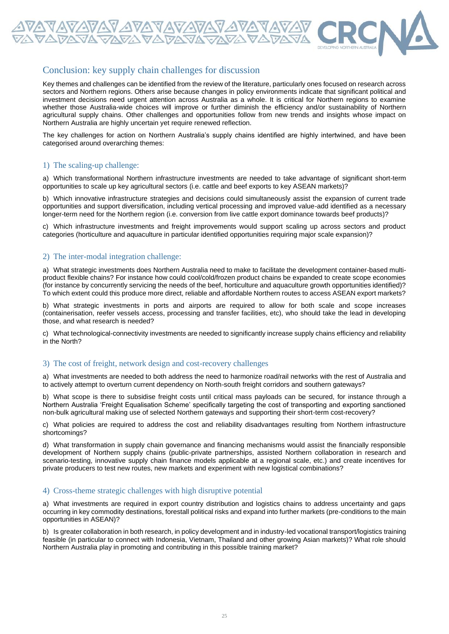

### Conclusion: key supply chain challenges for discussion

Key themes and challenges can be identified from the review of the literature, particularly ones focused on research across sectors and Northern regions. Others arise because changes in policy environments indicate that significant political and investment decisions need urgent attention across Australia as a whole. It is critical for Northern regions to examine whether those Australia-wide choices will improve or further diminish the efficiency and/or sustainability of Northern agricultural supply chains. Other challenges and opportunities follow from new trends and insights whose impact on Northern Australia are highly uncertain yet require renewed reflection.

The key challenges for action on Northern Australia's supply chains identified are highly intertwined, and have been categorised around overarching themes:

#### 1) The scaling-up challenge:

a) Which transformational Northern infrastructure investments are needed to take advantage of significant short-term opportunities to scale up key agricultural sectors (i.e. cattle and beef exports to key ASEAN markets)?

b) Which innovative infrastructure strategies and decisions could simultaneously assist the expansion of current trade opportunities and support diversification, including vertical processing and improved value-add identified as a necessary longer-term need for the Northern region (i.e. conversion from live cattle export dominance towards beef products)?

c) Which infrastructure investments and freight improvements would support scaling up across sectors and product categories (horticulture and aquaculture in particular identified opportunities requiring major scale expansion)?

#### 2) The inter-modal integration challenge:

a) What strategic investments does Northern Australia need to make to facilitate the development container-based multiproduct flexible chains? For instance how could cool/cold/frozen product chains be expanded to create scope economies (for instance by concurrently servicing the needs of the beef, horticulture and aquaculture growth opportunities identified)? To which extent could this produce more direct, reliable and affordable Northern routes to access ASEAN export markets?

b) What strategic investments in ports and airports are required to allow for both scale and scope increases (containerisation, reefer vessels access, processing and transfer facilities, etc), who should take the lead in developing those, and what research is needed?

c) What technological-connectivity investments are needed to significantly increase supply chains efficiency and reliability in the North?

#### 3) The cost of freight, network design and cost-recovery challenges

a) What investments are needed to both address the need to harmonize road/rail networks with the rest of Australia and to actively attempt to overturn current dependency on North-south freight corridors and southern gateways?

b) What scope is there to subsidise freight costs until critical mass payloads can be secured, for instance through a Northern Australia 'Freight Equalisation Scheme' specifically targeting the cost of transporting and exporting sanctioned non-bulk agricultural making use of selected Northern gateways and supporting their short-term cost-recovery?

c) What policies are required to address the cost and reliability disadvantages resulting from Northern infrastructure shortcomings?

d) What transformation in supply chain governance and financing mechanisms would assist the financially responsible development of Northern supply chains (public-private partnerships, assisted Northern collaboration in research and scenario-testing, innovative supply chain finance models applicable at a regional scale, etc.) and create incentives for private producers to test new routes, new markets and experiment with new logistical combinations?

#### 4) Cross-theme strategic challenges with high disruptive potential

a) What investments are required in export country distribution and logistics chains to address uncertainty and gaps occurring in key commodity destinations, forestall political risks and expand into further markets (pre-conditions to the main opportunities in ASEAN)?

b) Is greater collaboration in both research, in policy development and in industry-led vocational transport/logistics training feasible (in particular to connect with Indonesia, Vietnam, Thailand and other growing Asian markets)? What role should Northern Australia play in promoting and contributing in this possible training market?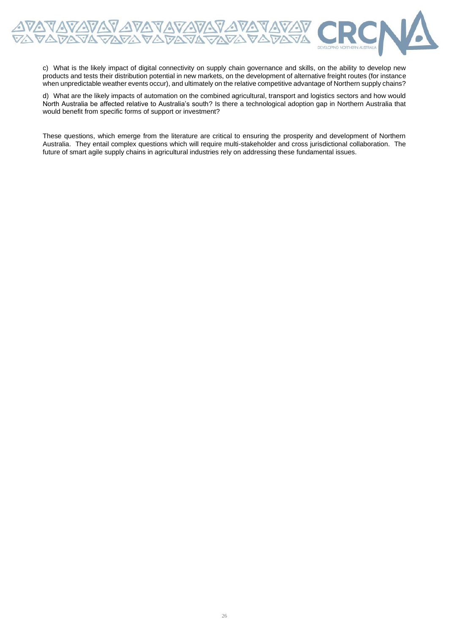

c) What is the likely impact of digital connectivity on supply chain governance and skills, on the ability to develop new products and tests their distribution potential in new markets, on the development of alternative freight routes (for instance when unpredictable weather events occur), and ultimately on the relative competitive advantage of Northern supply chains?

d) What are the likely impacts of automation on the combined agricultural, transport and logistics sectors and how would North Australia be affected relative to Australia's south? Is there a technological adoption gap in Northern Australia that would benefit from specific forms of support or investment?

These questions, which emerge from the literature are critical to ensuring the prosperity and development of Northern Australia. They entail complex questions which will require multi-stakeholder and cross jurisdictional collaboration. The future of smart agile supply chains in agricultural industries rely on addressing these fundamental issues.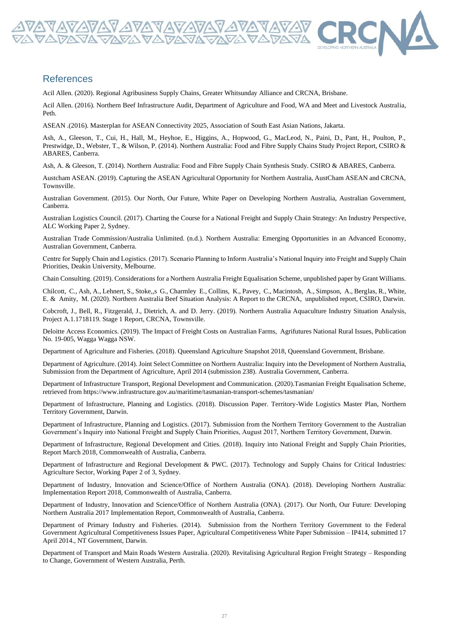

Acil Allen. (2020). Regional Agribusiness Supply Chains, Greater Whitsunday Alliance and CRCNA, Brisbane.

Acil Allen. (2016). Northern Beef Infrastructure Audit, Department of Agriculture and Food, WA and Meet and Livestock Australia, Peth.

ASEAN .(2016). Masterplan for ASEAN Connectivity 2025, Association of South East Asian Nations, Jakarta.

Ash, A., Gleeson, T., Cui, H., Hall, M., Heyhoe, E., Higgins, A., Hopwood, G., MacLeod, N., Paini, D., Pant, H., Poulton, P., Prestwidge, D., Webster, T., & Wilson, P. (2014). Northern Australia: Food and Fibre Supply Chains Study Project Report, CSIRO & ABARES, Canberra.

Ash, A. & Gleeson, T. (2014). Northern Australia: Food and Fibre Supply Chain Synthesis Study. CSIRO & ABARES, Canberra.

Austcham ASEAN. (2019). Capturing the ASEAN Agricultural Opportunity for Northern Australia, AustCham ASEAN and CRCNA, Townsville.

Australian Government. (2015). Our North, Our Future, White Paper on Developing Northern Australia, Australian Government, Canberra.

Australian Logistics Council. (2017). Charting the Course for a National Freight and Supply Chain Strategy: An Industry Perspective, ALC Working Paper 2, Sydney.

Australian Trade Commission/Australia Unlimited. (n.d.). Northern Australia: Emerging Opportunities in an Advanced Economy, Australian Government, Canberra.

Centre for Supply Chain and Logistics. (2017). Scenario Planning to Inform Australia's National Inquiry into Freight and Supply Chain Priorities, Deakin University, Melbourne.

Chain Consulting. (2019). Considerations for a Northern Australia Freight Equalisation Scheme, unpublished paper by Grant Williams.

Chilcott, C., Ash, A., Lehnert, S., Stoke,,s G., Charmley E., Collins, K., Pavey, C., Macintosh, A., Simpson, A., Berglas, R., White, E. & Amity, M. (2020). Northern Australia Beef Situation Analysis: A Report to the CRCNA, unpublished report, CSIRO, Darwin.

Cobcroft, J., Bell, R., Fitzgerald, J., Dietrich, A. and D. Jerry. (2019). Northern Australia Aquaculture Industry Situation Analysis, Project A.1.1718119. Stage 1 Report, CRCNA, Townsville.

Deloitte Access Economics. (2019). The Impact of Freight Costs on Australian Farms, Agrifutures National Rural Issues, Publication No. 19-005, Wagga Wagga NSW.

Department of Agriculture and Fisheries. (2018). Queensland Agriculture Snapshot 2018, Queensland Government, Brisbane.

Department of Agriculture. (2014). Joint Select Committee on Northern Australia: Inquiry into the Development of Northern Australia, Submission from the Department of Agriculture, April 2014 (submission 238). Australia Government, Canberra.

Department of Infrastructure Transport, Regional Development and Communication. (2020).Tasmanian Freight Equalisation Scheme, retrieved from https://www.infrastructure.gov.au/maritime/tasmanian-transport-schemes/tasmanian/

Department of Infrastructure, Planning and Logistics. (2018). Discussion Paper. Territory-Wide Logistics Master Plan, Northern Territory Government, Darwin.

Department of Infrastructure, Planning and Logistics. (2017). Submission from the Northern Territory Government to the Australian Government's Inquiry into National Freight and Supply Chain Priorities, August 2017, Northern Territory Government, Darwin.

Department of Infrastructure, Regional Development and Cities. (2018). Inquiry into National Freight and Supply Chain Priorities, Report March 2018, Commonwealth of Australia, Canberra.

Department of Infrastructure and Regional Development & PWC. (2017). Technology and Supply Chains for Critical Industries: Agriculture Sector, Working Paper 2 of 3, Sydney.

Department of Industry, Innovation and Science/Office of Northern Australia (ONA). (2018). Developing Northern Australia: Implementation Report 2018, Commonwealth of Australia, Canberra.

Department of Industry, Innovation and Science/Office of Northern Australia (ONA). (2017). Our North, Our Future: Developing Northern Australia 2017 Implementation Report, Commonwealth of Australia, Canberra.

Department of Primary Industry and Fisheries. (2014). Submission from the Northern Territory Government to the Federal Government Agricultural Competitiveness Issues Paper, Agricultural Competitiveness White Paper Submission – IP414, submitted 17 April 2014., NT Government, Darwin.

Department of Transport and Main Roads Western Australia. (2020). Revitalising Agricultural Region Freight Strategy – Responding to Change, Government of Western Australia, Perth.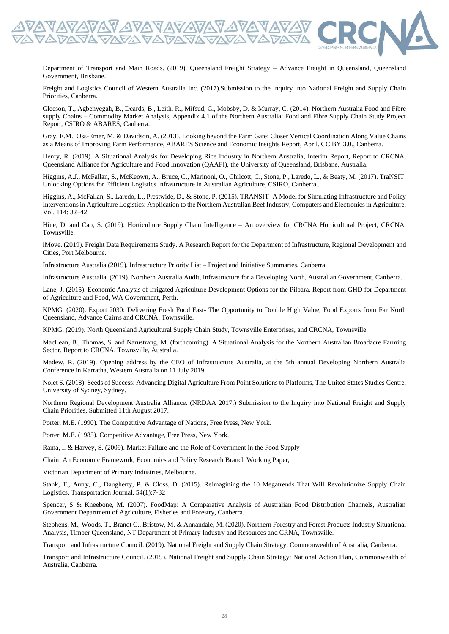

Department of Transport and Main Roads. (2019). Queensland Freight Strategy – Advance Freight in Queensland, Queensland Government, Brisbane.

Freight and Logistics Council of Western Australia Inc. (2017).Submission to the Inquiry into National Freight and Supply Chain Priorities, Canberra.

Gleeson, T., Agbenyegah, B., Deards, B., Leith, R., Mifsud, C., Mobsby, D. & Murray, C. (2014). Northern Australia Food and Fibre supply Chains – Commodity Market Analysis, Appendix 4.1 of the Northern Australia: Food and Fibre Supply Chain Study Project Report, CSIRO & ABARES, Canberra.

Gray, E.M., Oss-Emer, M. & Davidson, A. (2013). Looking beyond the Farm Gate: Closer Vertical Coordination Along Value Chains as a Means of Improving Farm Performance, ABARES Science and Economic Insights Report, April. CC BY 3.0., Canberra.

Henry, R. (2019). A Situational Analysis for Developing Rice Industry in Northern Australia, Interim Report, Report to CRCNA, Queensland Alliance for Agriculture and Food Innovation (QAAFI), the University of Queensland, Brisbane, Australia.

Higgins, A.J., McFallan, S., McKeown, A., Bruce, C., Marinoni, O., Chilcott, C., Stone, P., Laredo, L., & Beaty, M. (2017). TraNSIT: Unlocking Options for Efficient Logistics Infrastructure in Australian Agriculture, CSIRO, Canberra..

Higgins, A., McFallan, S., Laredo, L., Prestwide, D., & Stone, P. (2015). TRANSIT- A Model for Simulating Infrastructure and Policy Interventions in Agriculture Logistics: Application to the Northern Australian Beef Industry, Computers and Electronics in Agriculture, Vol. 114: 32–42.

Hine, D. and Cao, S. (2019). Horticulture Supply Chain Intelligence – An overview for CRCNA Horticultural Project, CRCNA, Townsville.

iMove. (2019). Freight Data Requirements Study. A Research Report for the Department of Infrastructure, Regional Development and Cities, Port Melbourne.

Infrastructure Australia.(2019). Infrastructure Priority List – Project and Initiative Summaries, Canberra.

Infrastructure Australia. (2019). Northern Australia Audit, Infrastructure for a Developing North, Australian Government, Canberra.

Lane, J. (2015). Economic Analysis of Irrigated Agriculture Development Options for the Pilbara, Report from GHD for Department of Agriculture and Food, WA Government, Perth.

KPMG. (2020). Export 2030: Delivering Fresh Food Fast- The Opportunity to Double High Value, Food Exports from Far North Queensland, Advance Cairns and CRCNA, Townsville.

KPMG. (2019). North Queensland Agricultural Supply Chain Study, Townsville Enterprises, and CRCNA, Townsville.

MacLean, B., Thomas, S. and Narustrang, M. (forthcoming). A Situational Analysis for the Northern Australian Broadacre Farming Sector, Report to CRCNA, Townsville, Australia.

Madew, R. (2019). Opening address by the CEO of Infrastructure Australia, at the 5th annual Developing Northern Australia Conference in Karratha, Western Australia on 11 July 2019.

Nolet S. (2018). Seeds of Success: Advancing Digital Agriculture From Point Solutions to Platforms, The United States Studies Centre, University of Sydney, Sydney.

Northern Regional Development Australia Alliance. (NRDAA 2017.) Submission to the Inquiry into National Freight and Supply Chain Priorities, Submitted 11th August 2017.

Porter, M.E. (1990). The Competitive Advantage of Nations, Free Press, New York.

Porter, M.E. (1985). Competitive Advantage, Free Press, New York.

Rama, I. & Harvey, S. (2009). Market Failure and the Role of Government in the Food Supply

Chain: An Economic Framework, Economics and Policy Research Branch Working Paper,

Victorian Department of Primary Industries, Melbourne.

Stank, T., Autry, C., Daugherty, P. & Closs, D. (2015). Reimagining the 10 Megatrends That Will Revolutionize Supply Chain Logistics, Transportation Journal, 54(1):7-32

Spencer, S & Kneebone, M. (2007). FoodMap: A Comparative Analysis of Australian Food Distribution Channels, Australian Government Department of Agriculture, Fisheries and Forestry, Canberra.

Stephens, M., Woods, T., Brandt C., Bristow, M. & Annandale, M. (2020). Northern Forestry and Forest Products Industry Situational Analysis, Timber Queensland, NT Department of Primary Industry and Resources and CRNA, Townsville.

Transport and Infrastructure Council. (2019). National Freight and Supply Chain Strategy, Commonwealth of Australia, Canberra.

Transport and Infrastructure Council. (2019). National Freight and Supply Chain Strategy: National Action Plan, Commonwealth of Australia, Canberra.